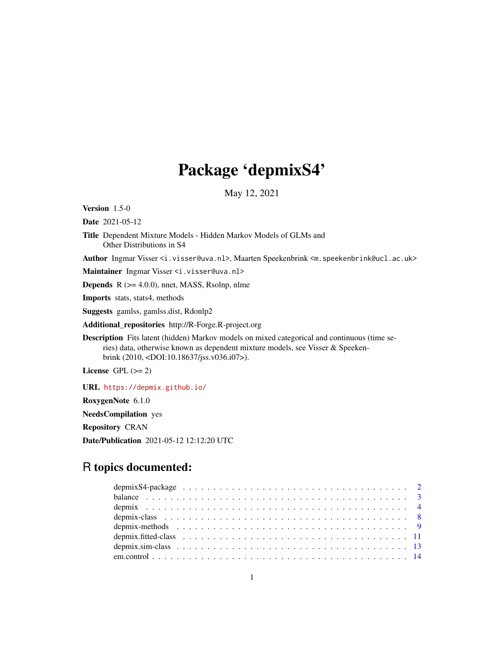# Package 'depmixS4'

May 12, 2021

<span id="page-0-0"></span>Version 1.5-0

Date 2021-05-12

Title Dependent Mixture Models - Hidden Markov Models of GLMs and Other Distributions in S4

Author Ingmar Visser <i.visser@uva.nl>, Maarten Speekenbrink <m.speekenbrink@ucl.ac.uk>

Maintainer Ingmar Visser <i.visser@uva.nl>

**Depends**  $R$  ( $>= 4.0.0$ ), nnet, MASS, Rsolnp, nlme

Imports stats, stats4, methods

Suggests gamlss, gamlss.dist, Rdonlp2

Additional\_repositories http://R-Forge.R-project.org

Description Fits latent (hidden) Markov models on mixed categorical and continuous (time series) data, otherwise known as dependent mixture models, see Visser & Speekenbrink (2010, <DOI:10.18637/jss.v036.i07>).

License GPL  $(>= 2)$ 

URL <https://depmix.github.io/>

RoxygenNote 6.1.0

NeedsCompilation yes

Repository CRAN

Date/Publication 2021-05-12 12:12:20 UTC

## R topics documented: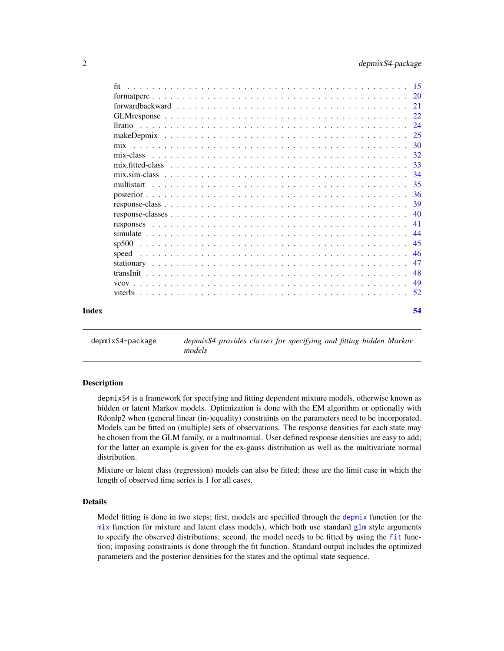<span id="page-1-0"></span>

| fit   |  |  |  |  |  |  |  |  |  |  |  |  |  |  |  |     |
|-------|--|--|--|--|--|--|--|--|--|--|--|--|--|--|--|-----|
|       |  |  |  |  |  |  |  |  |  |  |  |  |  |  |  |     |
|       |  |  |  |  |  |  |  |  |  |  |  |  |  |  |  |     |
|       |  |  |  |  |  |  |  |  |  |  |  |  |  |  |  |     |
|       |  |  |  |  |  |  |  |  |  |  |  |  |  |  |  | 24  |
|       |  |  |  |  |  |  |  |  |  |  |  |  |  |  |  | 25  |
|       |  |  |  |  |  |  |  |  |  |  |  |  |  |  |  | 30  |
|       |  |  |  |  |  |  |  |  |  |  |  |  |  |  |  | 32  |
|       |  |  |  |  |  |  |  |  |  |  |  |  |  |  |  | 33  |
|       |  |  |  |  |  |  |  |  |  |  |  |  |  |  |  | 34  |
|       |  |  |  |  |  |  |  |  |  |  |  |  |  |  |  | 35  |
|       |  |  |  |  |  |  |  |  |  |  |  |  |  |  |  | -36 |
|       |  |  |  |  |  |  |  |  |  |  |  |  |  |  |  | 39  |
|       |  |  |  |  |  |  |  |  |  |  |  |  |  |  |  | 40  |
|       |  |  |  |  |  |  |  |  |  |  |  |  |  |  |  | 41  |
|       |  |  |  |  |  |  |  |  |  |  |  |  |  |  |  | -44 |
|       |  |  |  |  |  |  |  |  |  |  |  |  |  |  |  | 45  |
| speed |  |  |  |  |  |  |  |  |  |  |  |  |  |  |  | -46 |
|       |  |  |  |  |  |  |  |  |  |  |  |  |  |  |  | 47  |
|       |  |  |  |  |  |  |  |  |  |  |  |  |  |  |  | 48  |
|       |  |  |  |  |  |  |  |  |  |  |  |  |  |  |  | 49  |
|       |  |  |  |  |  |  |  |  |  |  |  |  |  |  |  | .52 |
|       |  |  |  |  |  |  |  |  |  |  |  |  |  |  |  | 54  |

depmixS4-package *depmixS4 provides classes for specifying and fitting hidden Markov models*

### <span id="page-1-1"></span>Description

depmixS4 is a framework for specifying and fitting dependent mixture models, otherwise known as hidden or latent Markov models. Optimization is done with the EM algorithm or optionally with Rdonlp2 when (general linear (in-)equality) constraints on the parameters need to be incorporated. Models can be fitted on (multiple) sets of observations. The response densities for each state may be chosen from the GLM family, or a multinomial. User defined response densities are easy to add; for the latter an example is given for the ex-gauss distribution as well as the multivariate normal distribution.

Mixture or latent class (regression) models can also be fitted; these are the limit case in which the length of observed time series is 1 for all cases.

### Details

Model fitting is done in two steps; first, models are specified through the [depmix](#page-3-1) function (or the  $mix$  function for mixture and latent class models), which both use standard  $glm$  style arguments to specify the observed distributions; second, the model needs to be fitted by using the [fit](#page-14-1) function; imposing constraints is done through the fit function. Standard output includes the optimized parameters and the posterior densities for the states and the optimal state sequence.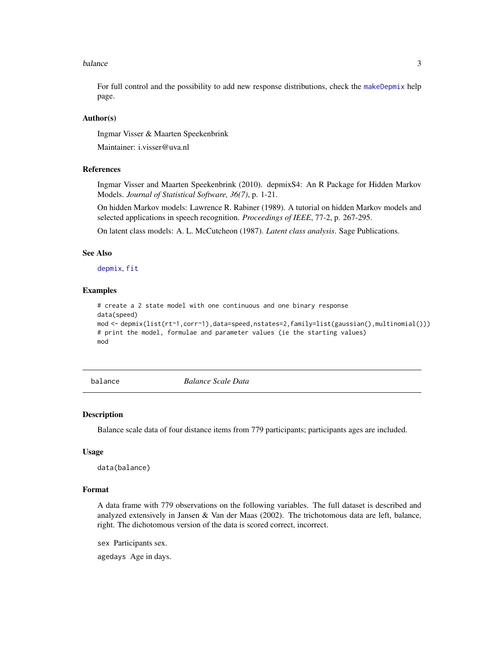#### <span id="page-2-0"></span>balance 3 and 3 and 3 and 3 and 3 and 3 and 3 and 3 and 3 and 3 and 3 and 3 and 3 and 3 and 3 and 3 and 3 and 3 and 3 and 3 and 3 and 3 and 3 and 3 and 3 and 3 and 3 and 3 and 3 and 3 and 3 and 3 and 3 and 3 and 3 and 3 an

For full control and the possibility to add new response distributions, check the [makeDepmix](#page-24-1) help page.

### Author(s)

Ingmar Visser & Maarten Speekenbrink

Maintainer: i.visser@uva.nl

### References

Ingmar Visser and Maarten Speekenbrink (2010). depmixS4: An R Package for Hidden Markov Models. *Journal of Statistical Software, 36(7)*, p. 1-21.

On hidden Markov models: Lawrence R. Rabiner (1989). A tutorial on hidden Markov models and selected applications in speech recognition. *Proceedings of IEEE*, 77-2, p. 267-295.

On latent class models: A. L. McCutcheon (1987). *Latent class analysis*. Sage Publications.

### See Also

[depmix](#page-3-1), [fit](#page-14-1)

### Examples

```
# create a 2 state model with one continuous and one binary response
data(speed)
mod <- depmix(list(rt~1,corr~1),data=speed,nstates=2,family=list(gaussian(),multinomial()))
# print the model, formulae and parameter values (ie the starting values)
mod
```
balance *Balance Scale Data*

### Description

Balance scale data of four distance items from 779 participants; participants ages are included.

#### Usage

data(balance)

#### Format

A data frame with 779 observations on the following variables. The full dataset is described and analyzed extensively in Jansen & Van der Maas (2002). The trichotomous data are left, balance, right. The dichotomous version of the data is scored correct, incorrect.

sex Participants sex.

agedays Age in days.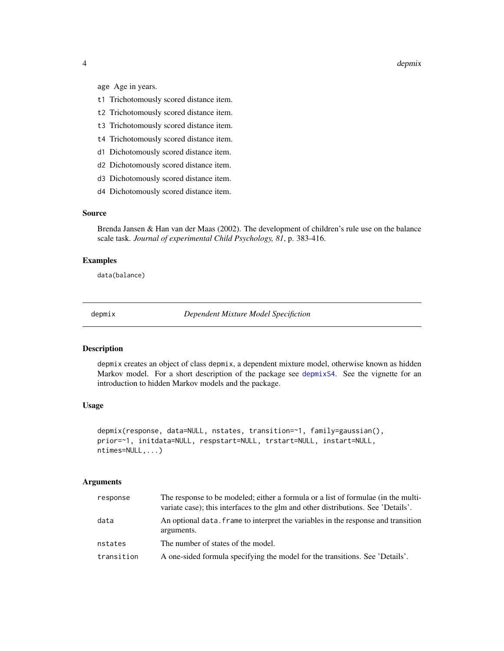<span id="page-3-0"></span>4 depmix

age Age in years.

- t1 Trichotomously scored distance item.
- t2 Trichotomously scored distance item.
- t3 Trichotomously scored distance item.
- t4 Trichotomously scored distance item.
- d1 Dichotomously scored distance item.
- d2 Dichotomously scored distance item.
- d3 Dichotomously scored distance item.
- d4 Dichotomously scored distance item.

### Source

Brenda Jansen & Han van der Maas (2002). The development of children's rule use on the balance scale task. *Journal of experimental Child Psychology, 81*, p. 383-416.

### Examples

data(balance)

<span id="page-3-1"></span>depmix *Dependent Mixture Model Specifiction*

### Description

depmix creates an object of class depmix, a dependent mixture model, otherwise known as hidden Markov model. For a short description of the package see [depmixS4](#page-1-1). See the vignette for an introduction to hidden Markov models and the package.

### Usage

```
depmix(response, data=NULL, nstates, transition=~1, family=gaussian(),
prior=~1, initdata=NULL, respstart=NULL, trstart=NULL, instart=NULL,
ntimes=NULL,...)
```
#### Arguments

| response   | The response to be modeled; either a formula or a list of formulae (in the multi-<br>variate case); this interfaces to the glm and other distributions. See 'Details'. |
|------------|------------------------------------------------------------------------------------------------------------------------------------------------------------------------|
| data       | An optional data, frame to interpret the variables in the response and transition<br>arguments.                                                                        |
| nstates    | The number of states of the model.                                                                                                                                     |
| transition | A one-sided formula specifying the model for the transitions. See 'Details'.                                                                                           |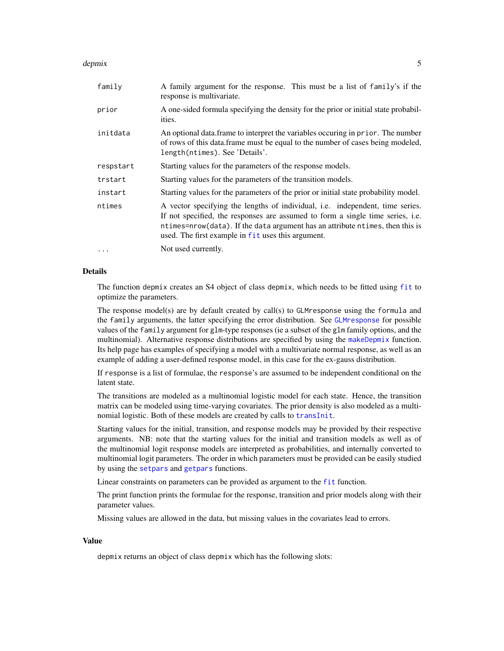#### <span id="page-4-0"></span>depmix 5

| family    | A family argument for the response. This must be a list of family's if the<br>response is multivariate.                                                                                                                                                                                                |
|-----------|--------------------------------------------------------------------------------------------------------------------------------------------------------------------------------------------------------------------------------------------------------------------------------------------------------|
| prior     | A one-sided formula specifying the density for the prior or initial state probabil-<br>ities.                                                                                                                                                                                                          |
| initdata  | An optional data frame to interpret the variables occuring in prior. The number<br>of rows of this data.frame must be equal to the number of cases being modeled,<br>length(ntimes). See 'Details'.                                                                                                    |
| respstart | Starting values for the parameters of the response models.                                                                                                                                                                                                                                             |
| trstart   | Starting values for the parameters of the transition models.                                                                                                                                                                                                                                           |
| instart   | Starting values for the parameters of the prior or initial state probability model.                                                                                                                                                                                                                    |
| ntimes    | A vector specifying the lengths of individual, i.e. independent, time series.<br>If not specified, the responses are assumed to form a single time series, i.e.<br>ntimes=nrow(data). If the data argument has an attribute ntimes, then this is<br>used. The first example in fit uses this argument. |
| $\cdots$  | Not used currently.                                                                                                                                                                                                                                                                                    |

### Details

The function depmix creates an S4 object of class depmix, which needs to be fitted using [fit](#page-14-1) to optimize the parameters.

The response model(s) are by default created by call(s) to GLMresponse using the formula and the family arguments, the latter specifying the error distribution. See [GLMresponse](#page-21-1) for possible values of the family argument for glm-type responses (ie a subset of the glm family options, and the multinomial). Alternative response distributions are specified by using the [makeDepmix](#page-24-1) function. Its help page has examples of specifying a model with a multivariate normal response, as well as an example of adding a user-defined response model, in this case for the ex-gauss distribution.

If response is a list of formulae, the response's are assumed to be independent conditional on the latent state.

The transitions are modeled as a multinomial logistic model for each state. Hence, the transition matrix can be modeled using time-varying covariates. The prior density is also modeled as a multinomial logistic. Both of these models are created by calls to [transInit](#page-47-1).

Starting values for the initial, transition, and response models may be provided by their respective arguments. NB: note that the starting values for the initial and transition models as well as of the multinomial logit response models are interpreted as probabilities, and internally converted to multinomial logit parameters. The order in which parameters must be provided can be easily studied by using the [setpars](#page-8-1) and [getpars](#page-8-1) functions.

Linear constraints on parameters can be provided as argument to the [fit](#page-14-1) function.

The print function prints the formulae for the response, transition and prior models along with their parameter values.

Missing values are allowed in the data, but missing values in the covariates lead to errors.

### Value

depmix returns an object of class depmix which has the following slots: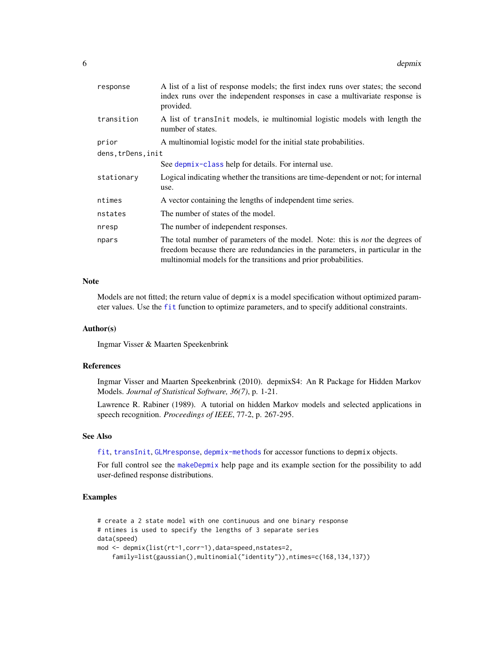<span id="page-5-0"></span>

| response           | A list of a list of response models; the first index runs over states; the second<br>index runs over the independent responses in case a multivariate response is<br>provided.                                                            |
|--------------------|-------------------------------------------------------------------------------------------------------------------------------------------------------------------------------------------------------------------------------------------|
| transition         | A list of translation models, ie multinomial logistic models with length the<br>number of states.                                                                                                                                         |
| prior              | A multinomial logistic model for the initial state probabilities.                                                                                                                                                                         |
| dens, trDens, init |                                                                                                                                                                                                                                           |
|                    | See depmix-class help for details. For internal use.                                                                                                                                                                                      |
| stationary         | Logical indicating whether the transitions are time-dependent or not; for internal<br>use.                                                                                                                                                |
| ntimes             | A vector containing the lengths of independent time series.                                                                                                                                                                               |
| nstates            | The number of states of the model.                                                                                                                                                                                                        |
| nresp              | The number of independent responses.                                                                                                                                                                                                      |
| npars              | The total number of parameters of the model. Note: this is <i>not</i> the degrees of<br>freedom because there are redundancies in the parameters, in particular in the<br>multinomial models for the transitions and prior probabilities. |

### Note

Models are not fitted; the return value of depmix is a model specification without optimized parameter values. Use the [fit](#page-14-1) function to optimize parameters, and to specify additional constraints.

### Author(s)

Ingmar Visser & Maarten Speekenbrink

### References

Ingmar Visser and Maarten Speekenbrink (2010). depmixS4: An R Package for Hidden Markov Models. *Journal of Statistical Software, 36(7)*, p. 1-21.

Lawrence R. Rabiner (1989). A tutorial on hidden Markov models and selected applications in speech recognition. *Proceedings of IEEE*, 77-2, p. 267-295.

#### See Also

[fit](#page-14-1), [transInit](#page-47-1), [GLMresponse](#page-21-1), [depmix-methods](#page-8-2) for accessor functions to depmix objects.

For full control see the [makeDepmix](#page-24-1) help page and its example section for the possibility to add user-defined response distributions.

### Examples

```
# create a 2 state model with one continuous and one binary response
# ntimes is used to specify the lengths of 3 separate series
data(speed)
mod <- depmix(list(rt~1,corr~1),data=speed,nstates=2,
    family=list(gaussian(),multinomial("identity")),ntimes=c(168,134,137))
```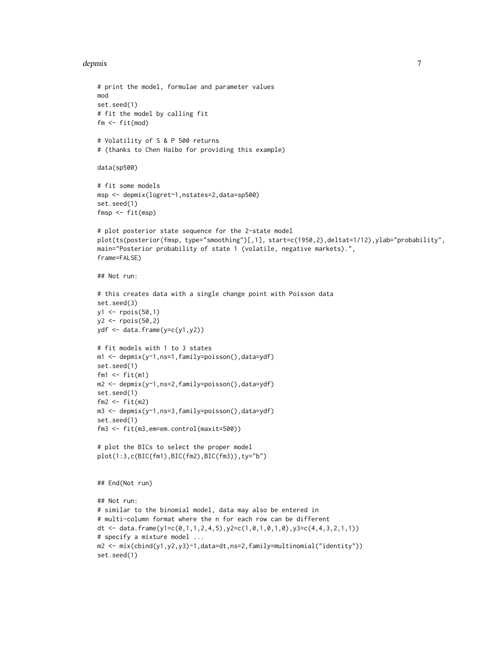#### depmix  $\sim$  7

```
# print the model, formulae and parameter values
mod
set.seed(1)
# fit the model by calling fit
fm <- fit(mod)
# Volatility of S & P 500 returns
# (thanks to Chen Haibo for providing this example)
data(sp500)
# fit some models
msp <- depmix(logret~1,nstates=2,data=sp500)
set.seed(1)
fmsp <- fit(msp)
# plot posterior state sequence for the 2-state model
plot(ts(posterior(fmsp, type="smoothing")[,1], start=c(1950,2),deltat=1/12),ylab="probability",
main="Posterior probability of state 1 (volatile, negative markets).",
frame=FALSE)
## Not run:
# this creates data with a single change point with Poisson data
set.seed(3)
y1 <- rpois(50,1)
y2 <- rpois(50,2)
ydf <- data.frame(y=c(y1,y2))
# fit models with 1 to 3 states
m1 <- depmix(y~1,ns=1,family=poisson(),data=ydf)
set.seed(1)
fm1 <- fit(m1)
m2 <- depmix(y~1,ns=2,family=poisson(),data=ydf)
set.seed(1)
fm2 < - fit(m2)m3 <- depmix(y~1,ns=3,family=poisson(),data=ydf)
set.seed(1)
fm3 <- fit(m3,em=em.control(maxit=500))
# plot the BICs to select the proper model
plot(1:3,c(BIC(fm1),BIC(fm2),BIC(fm3)),ty="b")
## End(Not run)
## Not run:
# similar to the binomial model, data may also be entered in
# multi-column format where the n for each row can be different
dt <- data.frame(y1=c(0,1,1,2,4,5),y2=c(1,0,1,0,1,0),y3=c(4,4,3,2,1,1))
# specify a mixture model ...
m2 <- mix(cbind(y1,y2,y3)~1,data=dt,ns=2,family=multinomial("identity"))
set.seed(1)
```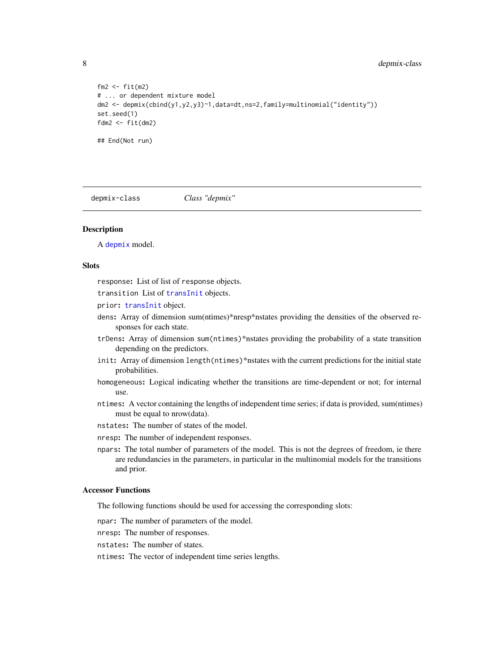```
fm2 < - fit(m2)# ... or dependent mixture model
dm2 <- depmix(cbind(y1,y2,y3)~1,data=dt,ns=2,family=multinomial("identity"))
set.seed(1)
fdm2 \leftarrow fit(dm2)
## End(Not run)
```
<span id="page-7-1"></span>depmix-class *Class "depmix"*

### Description

A [depmix](#page-3-1) model.

### Slots

response: List of list of response objects.

transition List of [transInit](#page-47-1) objects.

- prior: [transInit](#page-47-1) object.
- dens: Array of dimension sum(ntimes)\*nresp\*nstates providing the densities of the observed responses for each state.
- trDens: Array of dimension sum(ntimes)\*nstates providing the probability of a state transition depending on the predictors.
- init: Array of dimension length(ntimes)\*nstates with the current predictions for the initial state probabilities.
- homogeneous: Logical indicating whether the transitions are time-dependent or not; for internal use.
- ntimes: A vector containing the lengths of independent time series; if data is provided, sum(ntimes) must be equal to nrow(data).
- nstates: The number of states of the model.
- nresp: The number of independent responses.
- npars: The total number of parameters of the model. This is not the degrees of freedom, ie there are redundancies in the parameters, in particular in the multinomial models for the transitions and prior.

### Accessor Functions

The following functions should be used for accessing the corresponding slots:

npar: The number of parameters of the model.

nresp: The number of responses.

nstates: The number of states.

ntimes: The vector of independent time series lengths.

<span id="page-7-0"></span>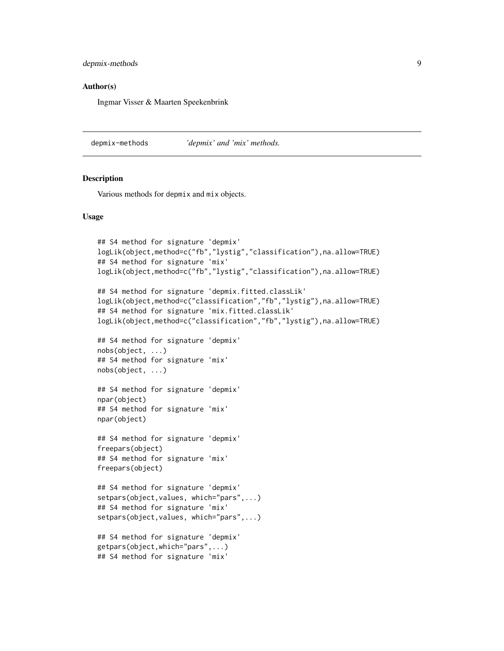### <span id="page-8-0"></span>depmix-methods 9

### Author(s)

Ingmar Visser & Maarten Speekenbrink

<span id="page-8-2"></span>depmix-methods *'depmix' and 'mix' methods.*

### <span id="page-8-1"></span>Description

Various methods for depmix and mix objects.

### Usage

```
## S4 method for signature 'depmix'
logLik(object,method=c("fb","lystig","classification"),na.allow=TRUE)
## S4 method for signature 'mix'
logLik(object,method=c("fb","lystig","classification"),na.allow=TRUE)
## S4 method for signature 'depmix.fitted.classLik'
logLik(object,method=c("classification","fb","lystig"),na.allow=TRUE)
## S4 method for signature 'mix.fitted.classLik'
logLik(object,method=c("classification","fb","lystig"),na.allow=TRUE)
## S4 method for signature 'depmix'
nobs(object, ...)
## S4 method for signature 'mix'
nobs(object, ...)
## S4 method for signature 'depmix'
npar(object)
## S4 method for signature 'mix'
npar(object)
## S4 method for signature 'depmix'
freepars(object)
## S4 method for signature 'mix'
freepars(object)
## S4 method for signature 'depmix'
setpars(object,values, which="pars",...)
## S4 method for signature 'mix'
setpars(object,values, which="pars",...)
## S4 method for signature 'depmix'
getpars(object,which="pars",...)
## S4 method for signature 'mix'
```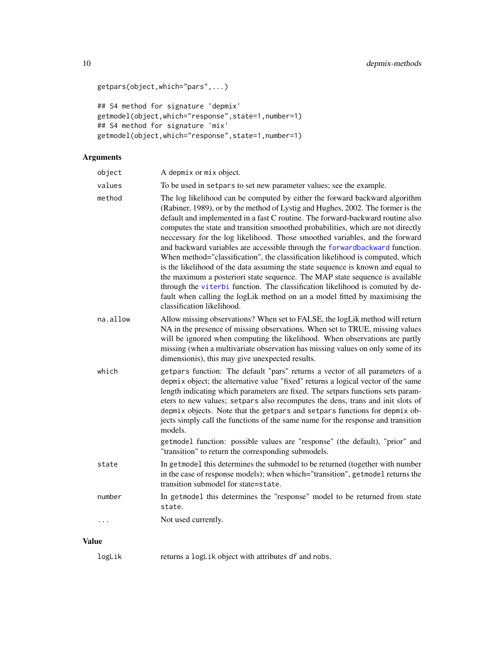```
getpars(object,which="pars",...)
```

```
## S4 method for signature 'depmix'
getmodel(object,which="response",state=1,number=1)
## S4 method for signature 'mix'
getmodel(object,which="response",state=1,number=1)
```
### Arguments

| object       | A depmix or mix object.                                                                                                                                                                                                                                                                                                                                                                                                                                                                                                                                                                                                                                                                                                                                                                                                                                                                                                                                |
|--------------|--------------------------------------------------------------------------------------------------------------------------------------------------------------------------------------------------------------------------------------------------------------------------------------------------------------------------------------------------------------------------------------------------------------------------------------------------------------------------------------------------------------------------------------------------------------------------------------------------------------------------------------------------------------------------------------------------------------------------------------------------------------------------------------------------------------------------------------------------------------------------------------------------------------------------------------------------------|
| values       | To be used in set pars to set new parameter values; see the example.                                                                                                                                                                                                                                                                                                                                                                                                                                                                                                                                                                                                                                                                                                                                                                                                                                                                                   |
| method       | The log likelihood can be computed by either the forward backward algorithm<br>(Rabiner, 1989), or by the method of Lystig and Hughes, 2002. The former is the<br>default and implemented in a fast C routine. The forward-backward routine also<br>computes the state and transition smoothed probabilities, which are not directly<br>neccessary for the log likelihood. Those smoothed variables, and the forward<br>and backward variables are accessible through the forwardbackward function.<br>When method="classification", the classification likelihood is computed, which<br>is the likelihood of the data assuming the state sequence is known and equal to<br>the maximum a posteriori state sequence. The MAP state sequence is available<br>through the viterbi function. The classification likelihood is comuted by de-<br>fault when calling the logLik method on an a model fitted by maximising the<br>classification likelihood. |
| na.allow     | Allow missing observations? When set to FALSE, the logLik method will return<br>NA in the presence of missing observations. When set to TRUE, missing values<br>will be ignored when computing the likelihood. When observations are partly<br>missing (when a multivariate observation has missing values on only some of its<br>dimensionis), this may give unexpected results.                                                                                                                                                                                                                                                                                                                                                                                                                                                                                                                                                                      |
| which        | getpars function: The default "pars" returns a vector of all parameters of a<br>depmix object; the alternative value "fixed" returns a logical vector of the same<br>length indicating which parameters are fixed. The setpars functions sets param-<br>eters to new values; setpars also recomputes the dens, trans and init slots of<br>depmix objects. Note that the getpars and setpars functions for depmix ob-<br>jects simply call the functions of the same name for the response and transition<br>models.<br>getmodel function: possible values are "response" (the default), "prior" and<br>"transition" to return the corresponding submodels.                                                                                                                                                                                                                                                                                             |
| state        | In get model this determines the submodel to be returned (together with number<br>in the case of response models); when which="transition", getmodel returns the<br>transition submodel for state=state.                                                                                                                                                                                                                                                                                                                                                                                                                                                                                                                                                                                                                                                                                                                                               |
| number       | In getmodel this determines the "response" model to be returned from state<br>state.                                                                                                                                                                                                                                                                                                                                                                                                                                                                                                                                                                                                                                                                                                                                                                                                                                                                   |
| $\ddotsc$    | Not used currently.                                                                                                                                                                                                                                                                                                                                                                                                                                                                                                                                                                                                                                                                                                                                                                                                                                                                                                                                    |
| <b>Value</b> |                                                                                                                                                                                                                                                                                                                                                                                                                                                                                                                                                                                                                                                                                                                                                                                                                                                                                                                                                        |

logLik returns a logLik object with attributes df and nobs.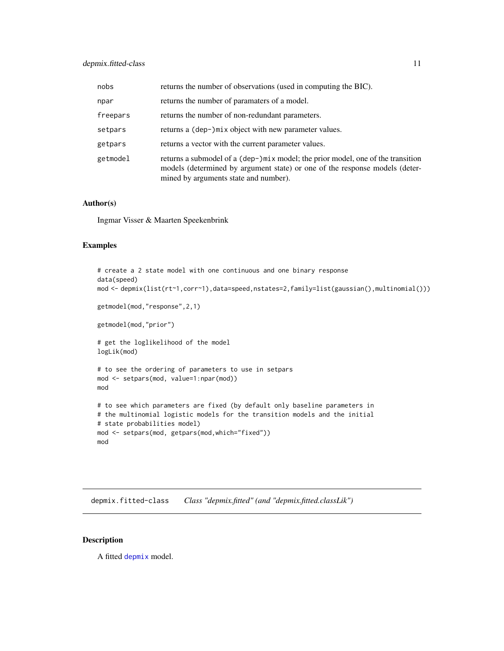### <span id="page-10-0"></span>depmix.fitted-class 11

| nobs     | returns the number of observations (used in computing the BIC).                                                                                                                                         |
|----------|---------------------------------------------------------------------------------------------------------------------------------------------------------------------------------------------------------|
| npar     | returns the number of paramaters of a model.                                                                                                                                                            |
| freepars | returns the number of non-redundant parameters.                                                                                                                                                         |
| setpars  | returns a (dep-)mix object with new parameter values.                                                                                                                                                   |
| getpars  | returns a vector with the current parameter values.                                                                                                                                                     |
| getmodel | returns a submodel of a (dep-)mix model; the prior model, one of the transition<br>models (determined by argument state) or one of the response models (deter-<br>mined by arguments state and number). |

### Author(s)

Ingmar Visser & Maarten Speekenbrink

### Examples

```
# create a 2 state model with one continuous and one binary response
data(speed)
mod <- depmix(list(rt~1,corr~1),data=speed,nstates=2,family=list(gaussian(),multinomial()))
getmodel(mod,"response",2,1)
getmodel(mod,"prior")
# get the loglikelihood of the model
logLik(mod)
# to see the ordering of parameters to use in setpars
mod <- setpars(mod, value=1:npar(mod))
mod
# to see which parameters are fixed (by default only baseline parameters in
# the multinomial logistic models for the transition models and the initial
# state probabilities model)
mod <- setpars(mod, getpars(mod,which="fixed"))
mod
```
depmix.fitted-class *Class "depmix.fitted" (and "depmix.fitted.classLik")*

#### <span id="page-10-1"></span>Description

A fitted [depmix](#page-3-1) model.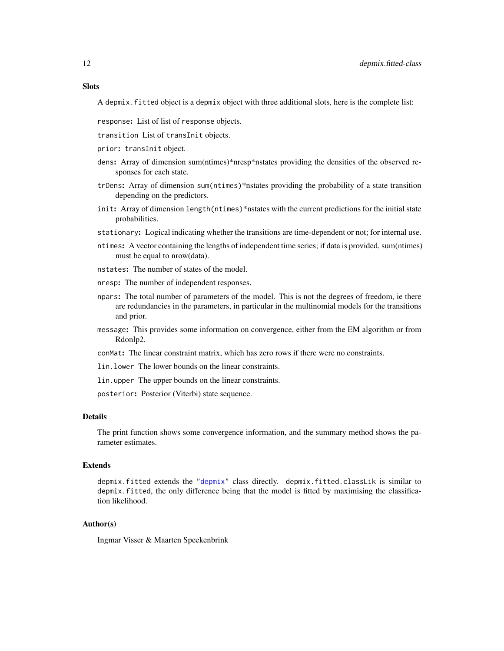### **Slots**

A depmix.fitted object is a depmix object with three additional slots, here is the complete list:

- response: List of list of response objects.
- transition List of transInit objects.
- prior: transInit object.
- dens: Array of dimension sum(ntimes)\*nresp\*nstates providing the densities of the observed responses for each state.
- trDens: Array of dimension sum(ntimes)\*nstates providing the probability of a state transition depending on the predictors.
- init: Array of dimension length (ntimes)\*nstates with the current predictions for the initial state probabilities.
- stationary: Logical indicating whether the transitions are time-dependent or not; for internal use.
- ntimes: A vector containing the lengths of independent time series; if data is provided, sum(ntimes) must be equal to nrow(data).
- nstates: The number of states of the model.
- nresp: The number of independent responses.
- npars: The total number of parameters of the model. This is not the degrees of freedom, ie there are redundancies in the parameters, in particular in the multinomial models for the transitions and prior.
- message: This provides some information on convergence, either from the EM algorithm or from Rdonlp2.
- conMat: The linear constraint matrix, which has zero rows if there were no constraints.
- lin.lower The lower bounds on the linear constraints.
- lin.upper The upper bounds on the linear constraints.

posterior: Posterior (Viterbi) state sequence.

### Details

The print function shows some convergence information, and the summary method shows the parameter estimates.

### Extends

depmix.fitted extends the ["depmix"](#page-7-1) class directly. depmix.fitted.classLik is similar to depmix.fitted, the only difference being that the model is fitted by maximising the classification likelihood.

### Author(s)

Ingmar Visser & Maarten Speekenbrink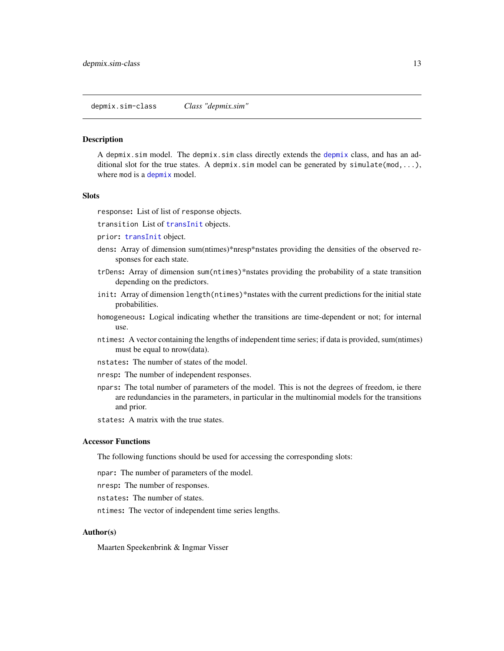<span id="page-12-0"></span>depmix.sim-class *Class "depmix.sim"*

#### Description

A depmix.sim model. The depmix.sim class directly extends the [depmix](#page-3-1) class, and has an additional slot for the true states. A depmix.sim model can be generated by simulate(mod,...), where mod is a [depmix](#page-3-1) model.

### **Slots**

response: List of list of response objects.

transition List of [transInit](#page-47-1) objects.

- prior: [transInit](#page-47-1) object.
- dens: Array of dimension sum(ntimes)\*nresp\*nstates providing the densities of the observed responses for each state.
- trDens: Array of dimension sum(ntimes)\*nstates providing the probability of a state transition depending on the predictors.
- init: Array of dimension length (ntimes)\*nstates with the current predictions for the initial state probabilities.
- homogeneous: Logical indicating whether the transitions are time-dependent or not; for internal use.
- ntimes: A vector containing the lengths of independent time series; if data is provided, sum(ntimes) must be equal to nrow(data).
- nstates: The number of states of the model.
- nresp: The number of independent responses.
- npars: The total number of parameters of the model. This is not the degrees of freedom, ie there are redundancies in the parameters, in particular in the multinomial models for the transitions and prior.
- states: A matrix with the true states.

### Accessor Functions

The following functions should be used for accessing the corresponding slots:

npar: The number of parameters of the model.

- nresp: The number of responses.
- nstates: The number of states.
- ntimes: The vector of independent time series lengths.

### Author(s)

Maarten Speekenbrink & Ingmar Visser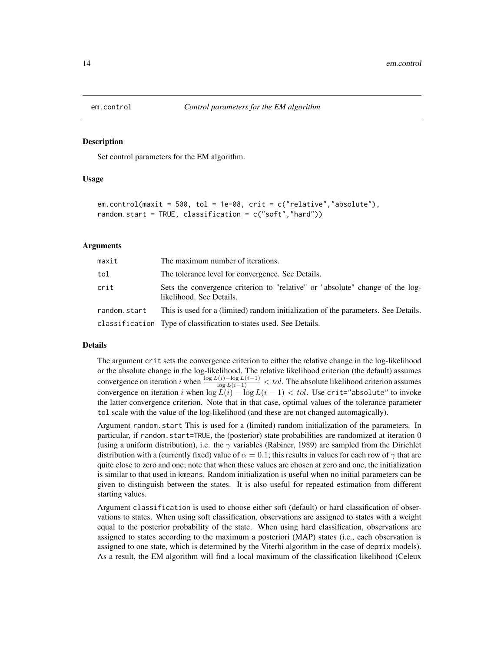<span id="page-13-1"></span><span id="page-13-0"></span>

#### Description

Set control parameters for the EM algorithm.

#### Usage

```
em.control(maxit = 500, tol = 1e-08, crit = c("relative","absolute"),
random.start = TRUE, classification = c("soft","hard"))
```
### Arguments

| maxit        | The maximum number of iterations.                                                                         |
|--------------|-----------------------------------------------------------------------------------------------------------|
| tol          | The tolerance level for convergence. See Details.                                                         |
| crit         | Sets the convergence criterion to "relative" or "absolute" change of the log-<br>likelihood. See Details. |
| random.start | This is used for a (limited) random initialization of the parameters. See Details.                        |
|              | classification Type of classification to states used. See Details.                                        |

#### Details

The argument crit sets the convergence criterion to either the relative change in the log-likelihood or the absolute change in the log-likelihood. The relative likelihood criterion (the default) assumes convergence on iteration *i* when  $\frac{\log L(i)-\log L(i-1)}{\log L(i-1)} < tol$ . The absolute likelihood criterion assumes convergence on iteration i when  $\log L(i) - \log L(i-1) < tol$ . Use crit="absolute" to invoke the latter convergence criterion. Note that in that case, optimal values of the tolerance parameter tol scale with the value of the log-likelihood (and these are not changed automagically).

Argument random.start This is used for a (limited) random initialization of the parameters. In particular, if random.start=TRUE, the (posterior) state probabilities are randomized at iteration 0 (using a uniform distribution), i.e. the  $\gamma$  variables (Rabiner, 1989) are sampled from the Dirichlet distribution with a (currently fixed) value of  $\alpha = 0.1$ ; this results in values for each row of  $\gamma$  that are quite close to zero and one; note that when these values are chosen at zero and one, the initialization is similar to that used in kmeans. Random initialization is useful when no initial parameters can be given to distinguish between the states. It is also useful for repeated estimation from different starting values.

Argument classification is used to choose either soft (default) or hard classification of observations to states. When using soft classification, observations are assigned to states with a weight equal to the posterior probability of the state. When using hard classification, observations are assigned to states according to the maximum a posteriori (MAP) states (i.e., each observation is assigned to one state, which is determined by the Viterbi algorithm in the case of depmix models). As a result, the EM algorithm will find a local maximum of the classification likelihood (Celeux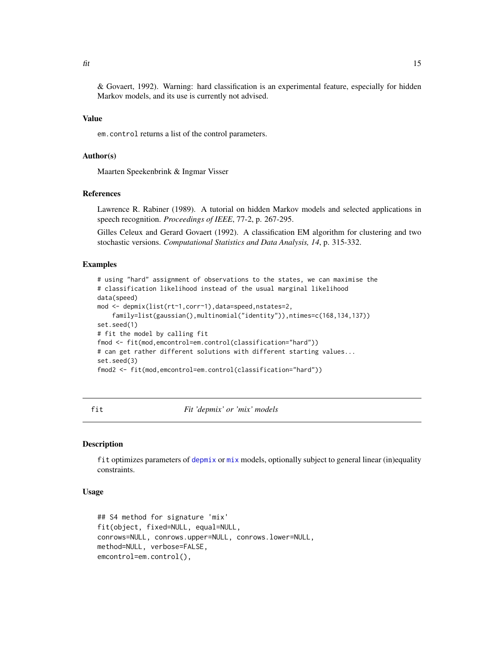<span id="page-14-0"></span>& Govaert, 1992). Warning: hard classification is an experimental feature, especially for hidden Markov models, and its use is currently not advised.

### Value

em.control returns a list of the control parameters.

### Author(s)

Maarten Speekenbrink & Ingmar Visser

### References

Lawrence R. Rabiner (1989). A tutorial on hidden Markov models and selected applications in speech recognition. *Proceedings of IEEE*, 77-2, p. 267-295.

Gilles Celeux and Gerard Govaert (1992). A classification EM algorithm for clustering and two stochastic versions. *Computational Statistics and Data Analysis, 14*, p. 315-332.

#### Examples

```
# using "hard" assignment of observations to the states, we can maximise the
# classification likelihood instead of the usual marginal likelihood
data(speed)
mod <- depmix(list(rt~1,corr~1),data=speed,nstates=2,
    family=list(gaussian(),multinomial("identity")),ntimes=c(168,134,137))
set.seed(1)
# fit the model by calling fit
fmod <- fit(mod,emcontrol=em.control(classification="hard"))
# can get rather different solutions with different starting values...
set.seed(3)
fmod2 <- fit(mod,emcontrol=em.control(classification="hard"))
```
<span id="page-14-1"></span>

fit *Fit 'depmix' or 'mix' models*

### **Description**

fit optimizes parameters of [depmix](#page-3-1) or [mix](#page-29-1) models, optionally subject to general linear (in)equality constraints.

### Usage

```
## S4 method for signature 'mix'
fit(object, fixed=NULL, equal=NULL,
conrows=NULL, conrows.upper=NULL, conrows.lower=NULL,
method=NULL, verbose=FALSE,
emcontrol=em.control(),
```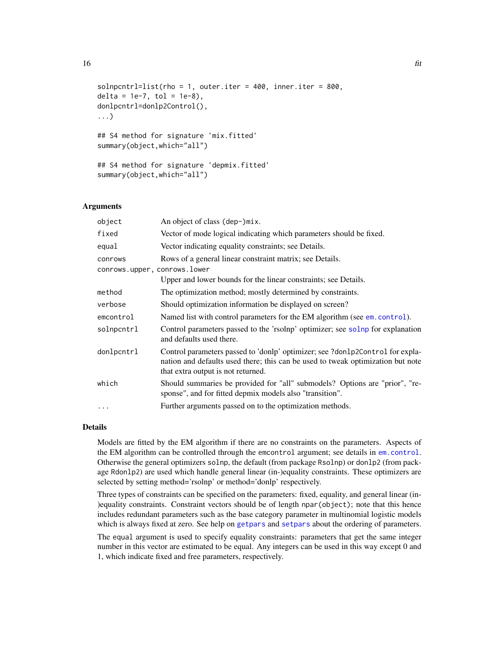```
solnprint=list(rho = 1, outer.iter = 400, inner.iter = 800,delta = 1e-7, tol = 1e-8).
donlpcntrl=donlp2Control(),
...)
## S4 method for signature 'mix.fitted'
summary(object,which="all")
## S4 method for signature 'depmix.fitted'
```
# Arguments

summary(object,which="all")

| object                       | An object of class (dep-)mix.                                                                                                                                                                          |
|------------------------------|--------------------------------------------------------------------------------------------------------------------------------------------------------------------------------------------------------|
| fixed                        | Vector of mode logical indicating which parameters should be fixed.                                                                                                                                    |
| equal                        | Vector indicating equality constraints; see Details.                                                                                                                                                   |
| conrows                      | Rows of a general linear constraint matrix; see Details.                                                                                                                                               |
| conrows.upper, conrows.lower |                                                                                                                                                                                                        |
|                              | Upper and lower bounds for the linear constraints; see Details.                                                                                                                                        |
| method                       | The optimization method; mostly determined by constraints.                                                                                                                                             |
| verbose                      | Should optimization information be displayed on screen?                                                                                                                                                |
| emcontrol                    | Named list with control parameters for the EM algorithm (see em. control).                                                                                                                             |
| solnpcntrl                   | Control parameters passed to the 'rsolnp' optimizer; see solnp for explanation<br>and defaults used there.                                                                                             |
| donlpcntrl                   | Control parameters passed to 'donlp' optimizer; see ?don1p2Control for expla-<br>nation and defaults used there; this can be used to tweak optimization but note<br>that extra output is not returned. |
| which                        | Should summaries be provided for "all" submodels? Options are "prior", "re-<br>sponse", and for fitted depmix models also "transition".                                                                |
| $\cdots$                     | Further arguments passed on to the optimization methods.                                                                                                                                               |
|                              |                                                                                                                                                                                                        |

#### Details

Models are fitted by the EM algorithm if there are no constraints on the parameters. Aspects of the EM algorithm can be controlled through the emcontrol argument; see details in [em.control](#page-13-1). Otherwise the general optimizers solnp, the default (from package Rsolnp) or donlp2 (from package Rdonlp2) are used which handle general linear (in-)equality constraints. These optimizers are selected by setting method='rsolnp' or method='donlp' respectively.

Three types of constraints can be specified on the parameters: fixed, equality, and general linear (in- )equality constraints. Constraint vectors should be of length npar(object); note that this hence includes redundant parameters such as the base category parameter in multinomial logistic models which is always fixed at zero. See help on [getpars](#page-8-1) and [setpars](#page-8-1) about the ordering of parameters.

The equal argument is used to specify equality constraints: parameters that get the same integer number in this vector are estimated to be equal. Any integers can be used in this way except 0 and 1, which indicate fixed and free parameters, respectively.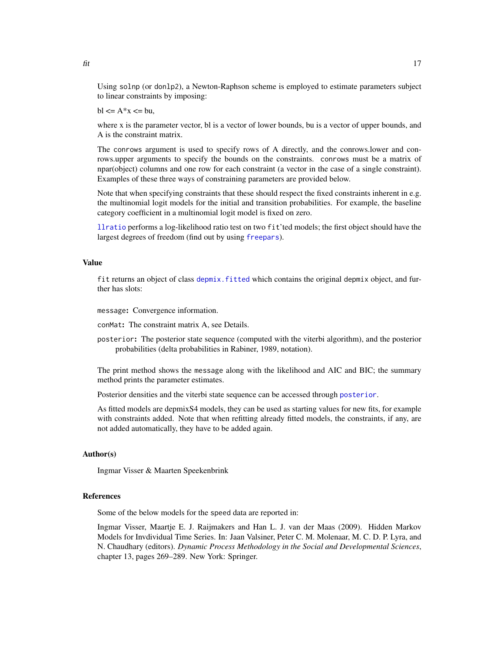Using solnp (or donlp2), a Newton-Raphson scheme is employed to estimate parameters subject to linear constraints by imposing:

 $bl \leq A^*x \leq bu$ .

where x is the parameter vector, bl is a vector of lower bounds, bu is a vector of upper bounds, and A is the constraint matrix.

The conrows argument is used to specify rows of A directly, and the conrows.lower and conrows.upper arguments to specify the bounds on the constraints. conrows must be a matrix of npar(object) columns and one row for each constraint (a vector in the case of a single constraint). Examples of these three ways of constraining parameters are provided below.

Note that when specifying constraints that these should respect the fixed constraints inherent in e.g. the multinomial logit models for the initial and transition probabilities. For example, the baseline category coefficient in a multinomial logit model is fixed on zero.

[llratio](#page-23-1) performs a log-likelihood ratio test on two fit'ted models; the first object should have the largest degrees of freedom (find out by using [freepars](#page-8-1)).

### Value

fit returns an object of class [depmix.fitted](#page-10-1) which contains the original depmix object, and further has slots:

message: Convergence information.

conMat: The constraint matrix A, see Details.

posterior: The posterior state sequence (computed with the viterbi algorithm), and the posterior probabilities (delta probabilities in Rabiner, 1989, notation).

The print method shows the message along with the likelihood and AIC and BIC; the summary method prints the parameter estimates.

Posterior densities and the viterbi state sequence can be accessed through [posterior](#page-35-1).

As fitted models are depmixS4 models, they can be used as starting values for new fits, for example with constraints added. Note that when refitting already fitted models, the constraints, if any, are not added automatically, they have to be added again.

### Author(s)

Ingmar Visser & Maarten Speekenbrink

### References

Some of the below models for the speed data are reported in:

Ingmar Visser, Maartje E. J. Raijmakers and Han L. J. van der Maas (2009). Hidden Markov Models for Invdividual Time Series. In: Jaan Valsiner, Peter C. M. Molenaar, M. C. D. P. Lyra, and N. Chaudhary (editors). *Dynamic Process Methodology in the Social and Developmental Sciences*, chapter 13, pages 269–289. New York: Springer.

<span id="page-16-0"></span>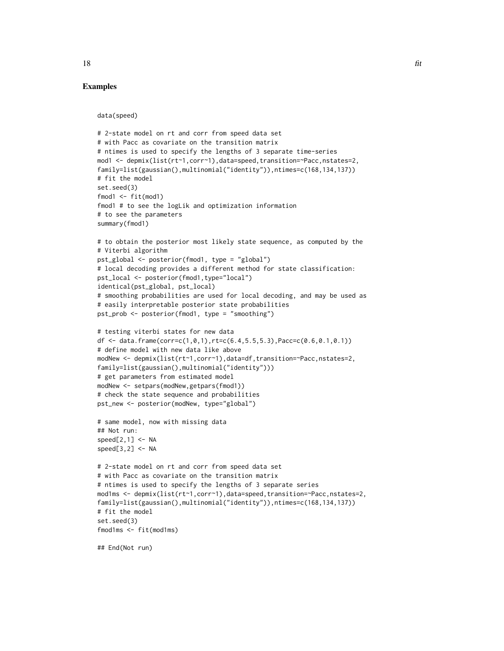### Examples

data(speed)

```
# 2-state model on rt and corr from speed data set
# with Pacc as covariate on the transition matrix
# ntimes is used to specify the lengths of 3 separate time-series
mod1 <- depmix(list(rt~1,corr~1),data=speed,transition=~Pacc,nstates=2,
family=list(gaussian(),multinomial("identity")),ntimes=c(168,134,137))
# fit the model
set.seed(3)
fmod1 \le- fit(mod1)
fmod1 # to see the logLik and optimization information
# to see the parameters
summary(fmod1)
# to obtain the posterior most likely state sequence, as computed by the
# Viterbi algorithm
pst_global <- posterior(fmod1, type = "global")
# local decoding provides a different method for state classification:
pst_local <- posterior(fmod1,type="local")
identical(pst_global, pst_local)
# smoothing probabilities are used for local decoding, and may be used as
# easily interpretable posterior state probabilities
pst_prob <- posterior(fmod1, type = "smoothing")
# testing viterbi states for new data
df \leq data.frame(corr=c(1,0,1),rt=c(6.4,5.5,5.3),Pacc=c(0.6,0.1,0.1))
# define model with new data like above
modNew <- depmix(list(rt~1,corr~1),data=df,transition=~Pacc,nstates=2,
family=list(gaussian(),multinomial("identity")))
# get parameters from estimated model
modNew <- setpars(modNew,getpars(fmod1))
# check the state sequence and probabilities
pst_new <- posterior(modNew, type="global")
# same model, now with missing data
## Not run:
speed[2,1] < -NAspeed[3,2] < -NA# 2-state model on rt and corr from speed data set
# with Pacc as covariate on the transition matrix
# ntimes is used to specify the lengths of 3 separate series
mod1ms <- depmix(list(rt~1,corr~1),data=speed,transition=~Pacc,nstates=2,
family=list(gaussian(),multinomial("identity")),ntimes=c(168,134,137))
# fit the model
set.seed(3)
```
## End(Not run)

fmod1ms <- fit(mod1ms)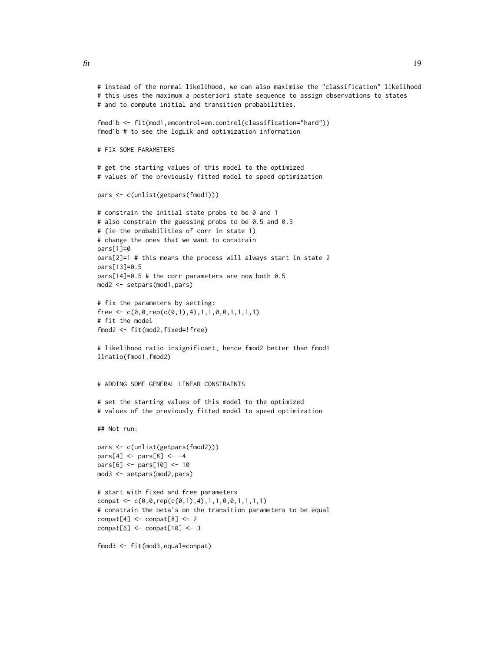$\frac{f}{f}$  19

```
# instead of the normal likelihood, we can also maximise the "classification" likelihood
# this uses the maximum a posteriori state sequence to assign observations to states
# and to compute initial and transition probabilities.
fmod1b <- fit(mod1,emcontrol=em.control(classification="hard"))
fmod1b # to see the logLik and optimization information
# FIX SOME PARAMETERS
# get the starting values of this model to the optimized
# values of the previously fitted model to speed optimization
pars <- c(unlist(getpars(fmod1)))
# constrain the initial state probs to be 0 and 1
# also constrain the guessing probs to be 0.5 and 0.5
# (ie the probabilities of corr in state 1)
# change the ones that we want to constrain
pars[1]=0
pars[2]=1 # this means the process will always start in state 2
pars[13]=0.5
pars[14]=0.5 # the corr parameters are now both 0.5
mod2 <- setpars(mod1,pars)
# fix the parameters by setting:
free \leq c(0,0,rep(c(0,1),4),1,1,0,0,1,1,1,1)# fit the model
fmod2 <- fit(mod2,fixed=!free)
# likelihood ratio insignificant, hence fmod2 better than fmod1
llratio(fmod1,fmod2)
# ADDING SOME GENERAL LINEAR CONSTRAINTS
# set the starting values of this model to the optimized
# values of the previously fitted model to speed optimization
## Not run:
pars <- c(unlist(getpars(fmod2)))
pars[4] <- pars[8] <- -4
pars[6] <- pars[10] <- 10
mod3 <- setpars(mod2,pars)
# start with fixed and free parameters
conpat <- c(\emptyset, \emptyset, rep(c(\emptyset,1),4), 1, 1, \emptyset, \emptyset, 1, 1, 1, 1)# constrain the beta's on the transition parameters to be equal
\text{compact}[4] \leq \text{compact}[8] \leq 2\text{compact}[6] \leq \text{compact}[10] \leq 3fmod3 <- fit(mod3,equal=conpat)
```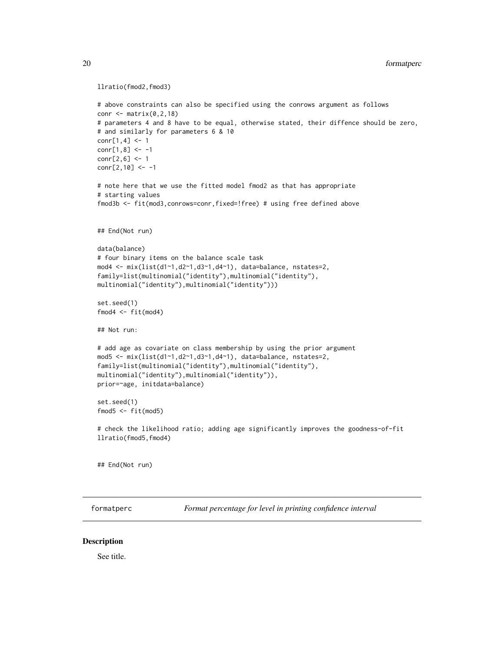```
llratio(fmod2,fmod3)
```

```
# above constraints can also be specified using the conrows argument as follows
conr \leq matrix(0,2,18)
# parameters 4 and 8 have to be equal, otherwise stated, their diffence should be zero,
# and similarly for parameters 6 & 10
conr[1,4] <- 1
conr[1,8] <- -1
conr[2,6] <- 1
conr[2,10] <- -1
# note here that we use the fitted model fmod2 as that has appropriate
# starting values
fmod3b <- fit(mod3,conrows=conr,fixed=!free) # using free defined above
## End(Not run)
data(balance)
# four binary items on the balance scale task
mod4 <- mix(list(d1~1,d2~1,d3~1,d4~1), data=balance, nstates=2,
family=list(multinomial("identity"),multinomial("identity"),
multinomial("identity"),multinomial("identity")))
set.seed(1)
fmod4 < -fit(mod4)## Not run:
# add age as covariate on class membership by using the prior argument
mod5 <- mix(list(d1~1,d2~1,d3~1,d4~1), data=balance, nstates=2,
family=list(multinomial("identity"),multinomial("identity"),
multinomial("identity"),multinomial("identity")),
prior=~age, initdata=balance)
set.seed(1)
fmod5 < -fit(mod5)# check the likelihood ratio; adding age significantly improves the goodness-of-fit
llratio(fmod5,fmod4)
```
## End(Not run)

formatperc *Format percentage for level in printing confidence interval*

### **Description**

See title.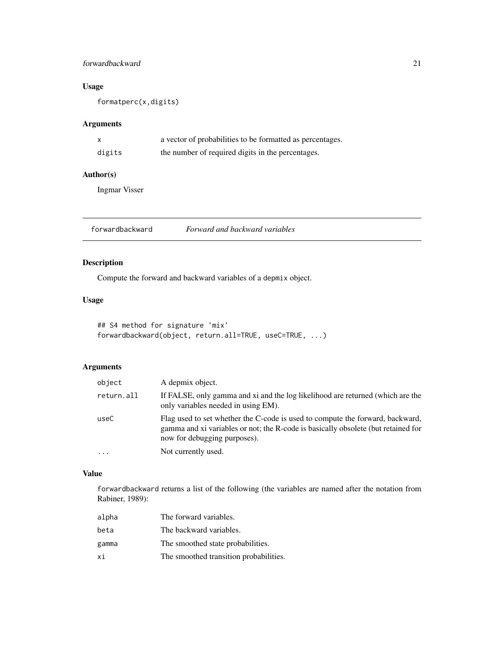### <span id="page-20-0"></span>forwardbackward 21

### Usage

formatperc(x,digits)

### Arguments

| X      | a vector of probabilities to be formatted as percentages. |
|--------|-----------------------------------------------------------|
| digits | the number of required digits in the percentages.         |

### Author(s)

Ingmar Visser

<span id="page-20-1"></span>forwardbackward *Forward and backward variables*

### Description

Compute the forward and backward variables of a depmix object.

### Usage

```
## S4 method for signature 'mix'
forwardbackward(object, return.all=TRUE, useC=TRUE, ...)
```
### Arguments

| object     | A depmix object.                                                                                                                                                                                   |
|------------|----------------------------------------------------------------------------------------------------------------------------------------------------------------------------------------------------|
| return.all | If FALSE, only gamma and xi and the log likelihood are returned (which are the<br>only variables needed in using EM).                                                                              |
| useC       | Flag used to set whether the C-code is used to compute the forward, backward,<br>gamma and xi variables or not; the R-code is basically obsolete (but retained for<br>now for debugging purposes). |
| .          | Not currently used.                                                                                                                                                                                |

### Value

forwardbackward returns a list of the following (the variables are named after the notation from Rabiner, 1989):

| alpha | The forward variables.                 |
|-------|----------------------------------------|
| beta  | The backward variables.                |
| gamma | The smoothed state probabilities.      |
| хi    | The smoothed transition probabilities. |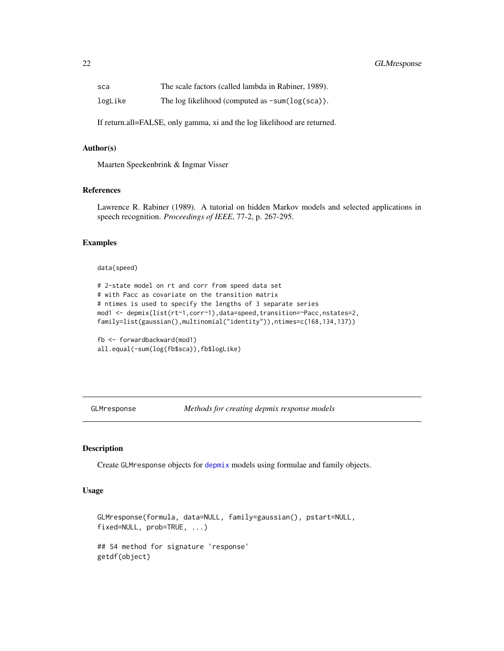<span id="page-21-0"></span>

| sca     | The scale factors (called lambda in Rabiner, 1989).               |
|---------|-------------------------------------------------------------------|
| logLike | The log likelihood (computed as $\text{-sum}(\log(\text{sca}))$ . |

If return.all=FALSE, only gamma, xi and the log likelihood are returned.

#### Author(s)

Maarten Speekenbrink & Ingmar Visser

### References

Lawrence R. Rabiner (1989). A tutorial on hidden Markov models and selected applications in speech recognition. *Proceedings of IEEE*, 77-2, p. 267-295.

### Examples

### data(speed)

```
# 2-state model on rt and corr from speed data set
# with Pacc as covariate on the transition matrix
# ntimes is used to specify the lengths of 3 separate series
mod1 <- depmix(list(rt~1,corr~1),data=speed,transition=~Pacc,nstates=2,
family=list(gaussian(),multinomial("identity")),ntimes=c(168,134,137))
```

```
fb <- forwardbackward(mod1)
all.equal(-sum(log(fb$sca)),fb$logLike)
```
<span id="page-21-1"></span>GLMresponse *Methods for creating depmix response models*

### Description

Create GLMresponse objects for [depmix](#page-3-1) models using formulae and family objects.

### Usage

```
GLMresponse(formula, data=NULL, family=gaussian(), pstart=NULL,
fixed=NULL, prob=TRUE, ...)
## S4 method for signature 'response'
getdf(object)
```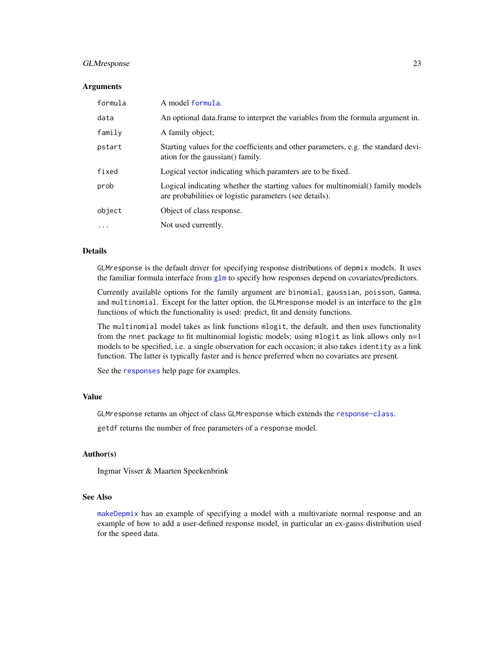### <span id="page-22-0"></span>GLMresponse 23

#### Arguments

| formula   | A model formula.                                                                                                                          |
|-----------|-------------------------------------------------------------------------------------------------------------------------------------------|
| data      | An optional data frame to interpret the variables from the formula argument in.                                                           |
| family    | A family object;                                                                                                                          |
| pstart    | Starting values for the coefficients and other parameters, e.g. the standard devi-<br>ation for the gaussian() family.                    |
| fixed     | Logical vector indicating which paramters are to be fixed.                                                                                |
| prob      | Logical indicating whether the starting values for multinomial() family models<br>are probabilities or logistic parameters (see details). |
| object    | Object of class response.                                                                                                                 |
| $\ddotsc$ | Not used currently.                                                                                                                       |

### Details

GLMresponse is the default driver for specifying response distributions of depmix models. It uses the familiar formula interface from [glm](#page-0-0) to specify how responses depend on covariates/predictors.

Currently available options for the family argument are binomial, gaussian, poisson, Gamma, and multinomial. Except for the latter option, the GLMresponse model is an interface to the glm functions of which the functionality is used: predict, fit and density functions.

The multinomial model takes as link functions mlogit, the default, and then uses functionality from the nnet package to fit multinomial logistic models; using mlogit as link allows only n=1 models to be specified, i.e. a single observation for each occasion; it also takes identity as a link function. The latter is typically faster and is hence preferred when no covariates are present.

See the [responses](#page-40-1) help page for examples.

### Value

GLMresponse returns an object of class GLMresponse which extends the [response-class](#page-38-1).

getdf returns the number of free parameters of a response model.

### Author(s)

Ingmar Visser & Maarten Speekenbrink

### See Also

[makeDepmix](#page-24-1) has an example of specifying a model with a multivariate normal response and an example of how to add a user-defined response model, in particular an ex-gauss distribution used for the speed data.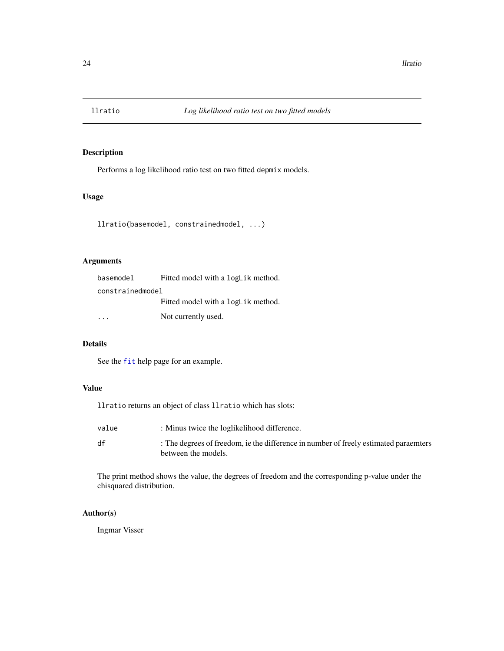<span id="page-23-1"></span><span id="page-23-0"></span>

### Description

Performs a log likelihood ratio test on two fitted depmix models.

### Usage

```
llratio(basemodel, constrainedmodel, ...)
```
### Arguments

| basemodel        | Fitted model with a logLik method. |  |
|------------------|------------------------------------|--|
| constrainedmodel |                                    |  |
|                  | Fitted model with a logLik method. |  |
|                  | Not currently used.                |  |

### Details

See the [fit](#page-14-1) help page for an example.

### Value

llratio returns an object of class llratio which has slots:

| value | : Minus twice the loglikelihood difference.                                          |
|-------|--------------------------------------------------------------------------------------|
| df    | : The degrees of freedom, ie the difference in number of freely estimated paraemters |
|       | between the models.                                                                  |

The print method shows the value, the degrees of freedom and the corresponding p-value under the chisquared distribution.

### Author(s)

Ingmar Visser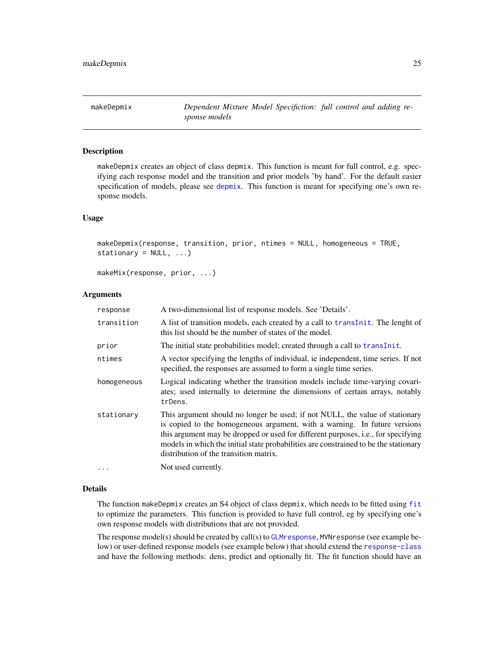### <span id="page-24-1"></span><span id="page-24-0"></span>Description

makeDepmix creates an object of class depmix. This function is meant for full control, e.g. specifying each response model and the transition and prior models 'by hand'. For the default easier specification of models, please see [depmix](#page-3-1). This function is meant for specifying one's own response models.

### Usage

```
makeDepmix(response, transition, prior, ntimes = NULL, homogeneous = TRUE,
stationary = NULL, ...)
```
makeMix(response, prior, ...)

### Arguments

| response    | A two-dimensional list of response models. See 'Details'.                                                                                                                                                                                                                                                                                                                        |
|-------------|----------------------------------------------------------------------------------------------------------------------------------------------------------------------------------------------------------------------------------------------------------------------------------------------------------------------------------------------------------------------------------|
| transition  | A list of transition models, each created by a call to translation. The lenght of<br>this list should be the number of states of the model.                                                                                                                                                                                                                                      |
| prior       | The initial state probabilities model; created through a call to transInit.                                                                                                                                                                                                                                                                                                      |
| ntimes      | A vector specifying the lengths of individual, ie independent, time series. If not<br>specified, the responses are assumed to form a single time series.                                                                                                                                                                                                                         |
| homogeneous | Logical indicating whether the transition models include time-varying covari-<br>ates; used internally to determine the dimensions of certain arrays, notably<br>trDens.                                                                                                                                                                                                         |
| stationary  | This argument should no longer be used; if not NULL, the value of stationary<br>is copied to the homogeneous argument, with a warning. In future versions<br>this argument may be dropped or used for different purposes, i.e., for specifying<br>models in which the initial state probabilities are constrained to be the stationary<br>distribution of the transition matrix. |
| $\ddots$    | Not used currently.                                                                                                                                                                                                                                                                                                                                                              |

### Details

The function makeDepmix creates an S4 object of class depmix, which needs to be fitted using [fit](#page-14-1) to optimize the parameters. This function is provided to have full control, eg by specifying one's own response models with distributions that are not provided.

The response model(s) should be created by call(s) to [GLMresponse](#page-21-1), MVNresponse (see example below) or user-defined response models (see example below) that should extend the [response-class](#page-38-1) and have the following methods: dens, predict and optionally fit. The fit function should have an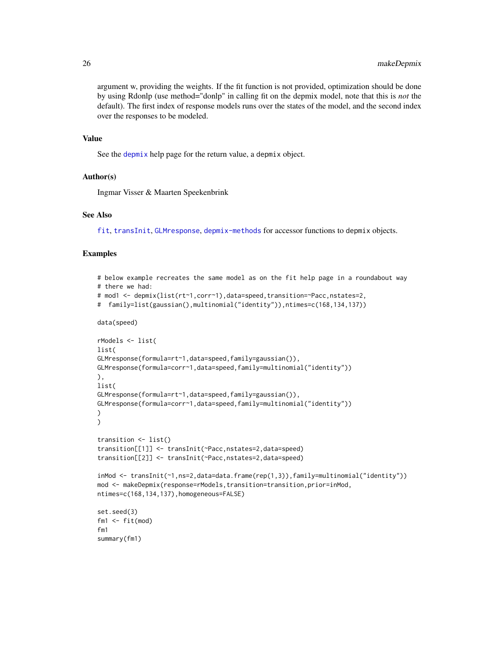argument w, providing the weights. If the fit function is not provided, optimization should be done by using Rdonlp (use method="donlp" in calling fit on the depmix model, note that this is *not* the default). The first index of response models runs over the states of the model, and the second index over the responses to be modeled.

#### Value

See the [depmix](#page-3-1) help page for the return value, a depmix object.

### Author(s)

Ingmar Visser & Maarten Speekenbrink

### See Also

[fit](#page-14-1), [transInit](#page-47-1), [GLMresponse](#page-21-1), [depmix-methods](#page-8-2) for accessor functions to depmix objects.

### Examples

```
# below example recreates the same model as on the fit help page in a roundabout way
# there we had:
# mod1 <- depmix(list(rt~1,corr~1),data=speed,transition=~Pacc,nstates=2,
# family=list(gaussian(),multinomial("identity")),ntimes=c(168,134,137))
data(speed)
rModels <- list(
list(
GLMresponse(formula=rt~1,data=speed,family=gaussian()),
GLMresponse(formula=corr~1,data=speed,family=multinomial("identity"))
),
list(
GLMresponse(formula=rt~1,data=speed,family=gaussian()),
GLMresponse(formula=corr~1,data=speed,family=multinomial("identity"))
)
)
transition <- list()
transition[[1]] <- transInit(~Pacc,nstates=2,data=speed)
transition[[2]] <- transInit(~Pacc,nstates=2,data=speed)
inMod <- transInit(~1,ns=2,data=data.frame(rep(1,3)),family=multinomial("identity"))
mod <- makeDepmix(response=rModels,transition=transition,prior=inMod,
ntimes=c(168,134,137),homogeneous=FALSE)
set.seed(3)
fm1 \leftarrow fit(mod)fm1
summary(fm1)
```
<span id="page-25-0"></span>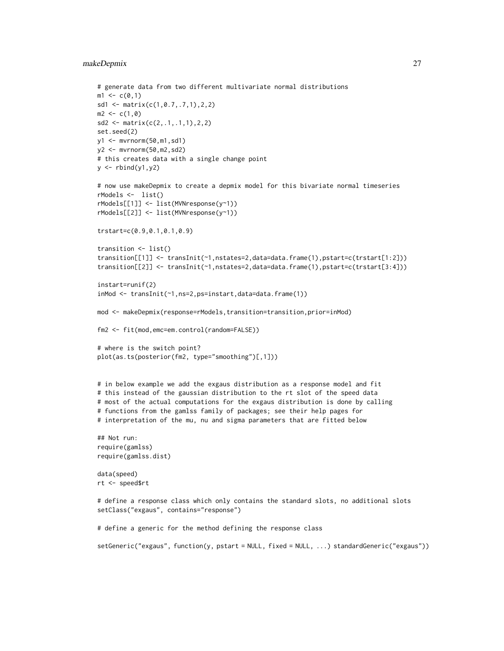### makeDepmix 27

```
# generate data from two different multivariate normal distributions
m1 < -c(0,1)sd1 <- matrix(c(1,0.7,.7,1),2,2)
m2 < -c(1, 0)sd2 \leq -\text{matrix}(c(2, .1, .1, 1), 2, 2)set.seed(2)
y1 <- mvrnorm(50,m1,sd1)
y2 <- mvrnorm(50,m2,sd2)
# this creates data with a single change point
y \leftarrow \text{rbind}(y1, y2)# now use makeDepmix to create a depmix model for this bivariate normal timeseries
rModels <- list()
rModels[[1]] <- list(MVNresponse(y~1))
rModels[[2]] <- list(MVNresponse(y~1))
trstart=c(0.9,0.1,0.1,0.9)
transition <- list()
transition[[1]] <- transInit(~1,nstates=2,data=data.frame(1),pstart=c(trstart[1:2]))
transition[[2]] <- transInit(~1,nstates=2,data=data.frame(1),pstart=c(trstart[3:4]))
instart=runif(2)
inMod <- transInit(~1,ns=2,ps=instart,data=data.frame(1))
mod <- makeDepmix(response=rModels,transition=transition,prior=inMod)
fm2 <- fit(mod,emc=em.control(random=FALSE))
# where is the switch point?
plot(as.ts(posterior(fm2, type="smoothing")[,1]))
# in below example we add the exgaus distribution as a response model and fit
# this instead of the gaussian distribution to the rt slot of the speed data
# most of the actual computations for the exgaus distribution is done by calling
# functions from the gamlss family of packages; see their help pages for
# interpretation of the mu, nu and sigma parameters that are fitted below
## Not run:
require(gamlss)
require(gamlss.dist)
data(speed)
rt <- speed$rt
# define a response class which only contains the standard slots, no additional slots
setClass("exgaus", contains="response")
# define a generic for the method defining the response class
setGeneric("exgaus", function(y, pstart = NULL, fixed = NULL, ...) standardGeneric("exgaus"))
```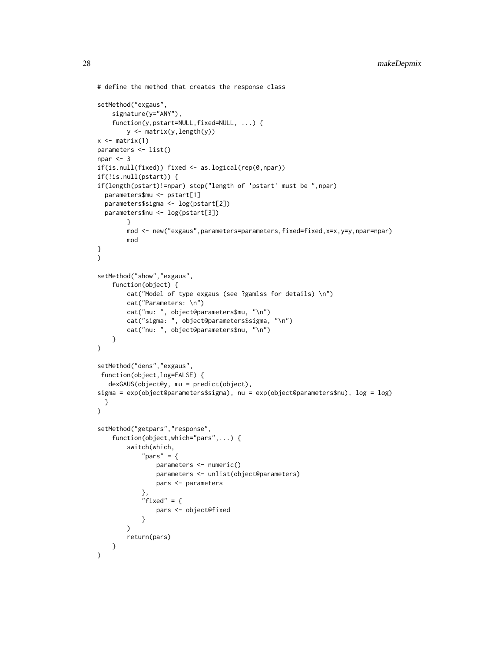```
# define the method that creates the response class
setMethod("exgaus",
    signature(y="ANY"),
    function(y,pstart=NULL,fixed=NULL, ...) {
        y <- matrix(y,length(y))
x \leftarrow \text{matrix}(1)parameters <- list()
npar <-3if(is.null(fixed)) fixed <- as.logical(rep(0,npar))
if(!is.null(pstart)) {
if(length(pstart)!=npar) stop("length of 'pstart' must be ",npar)
 parameters$mu <- pstart[1]
 parameters$sigma <- log(pstart[2])
 parameters$nu <- log(pstart[3])
        }
        mod <- new("exgaus",parameters=parameters,fixed=fixed,x=x,y=y,npar=npar)
        mod
}
\mathcal{L}setMethod("show","exgaus",
    function(object) {
        cat("Model of type exgaus (see ?gamlss for details) \n")
        cat("Parameters: \n")
        cat("mu: ", object@parameters$mu, "\n")
        cat("sigma: ", object@parameters$sigma, "\n")
        cat("nu: ", object@parameters$nu, "\n")
   }
)
setMethod("dens","exgaus",
function(object,log=FALSE) {
  dexGAUS(object@y, mu = predict(object),
sigma = exp(object@parameters$sigma), nu = exp(object@parameters$nu), log = log)
 }
\lambdasetMethod("getpars", "response",
    function(object,which="pars",...) {
        switch(which,
            "pars" = \{parameters <- numeric()
                parameters <- unlist(object@parameters)
                pars <- parameters
            },
            "fixed" = \{pars <- object@fixed
            }
        \lambdareturn(pars)
   }
)
```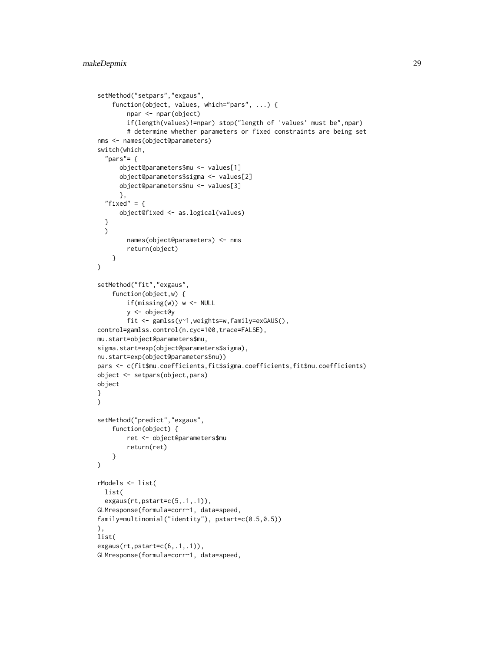```
setMethod("setpars","exgaus",
    function(object, values, which="pars", ...) {
        npar <- npar(object)
        if(length(values)!=npar) stop("length of 'values' must be",npar)
        # determine whether parameters or fixed constraints are being set
nms <- names(object@parameters)
switch(which,
  "pars"=fobject@parameters$mu <- values[1]
      object@parameters$sigma <- values[2]
      object@parameters$nu <- values[3]
      },
  "fixed" = {
      object@fixed <- as.logical(values)
  }
  \lambdanames(object@parameters) <- nms
        return(object)
    }
)
setMethod("fit","exgaus",
    function(object,w) {
        if(missing(w)) w <- NULL
        y <- object@y
        fit <- gamlss(y~1,weights=w,family=exGAUS(),
control=gamlss.control(n.cyc=100,trace=FALSE),
mu.start=object@parameters$mu,
sigma.start=exp(object@parameters$sigma),
nu.start=exp(object@parameters$nu))
pars <- c(fit$mu.coefficients,fit$sigma.coefficients,fit$nu.coefficients)
object <- setpars(object,pars)
object
}
\mathcal{L}setMethod("predict","exgaus",
    function(object) {
        ret <- object@parameters$mu
        return(ret)
    }
\mathcal{L}rModels <- list(
 list(
  exgaus(rt,pstart=c(5,.1,.1)),
GLMresponse(formula=corr~1, data=speed,
family=multinomial("identity"), pstart=c(0.5,0.5))
),
list(
exgaus(rt,pstart=c(6,.1,.1)),
GLMresponse(formula=corr~1, data=speed,
```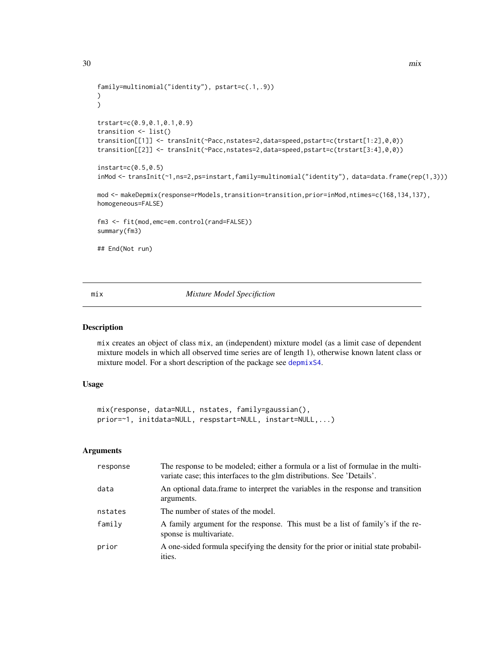```
family=multinomial("identity"), pstart=c(.1,.9))
\mathcal{L})
trstart=c(0.9,0.1,0.1,0.9)
transition <- list()
transition[[1]] <- transInit(~Pacc,nstates=2,data=speed,pstart=c(trstart[1:2],0,0))
transition[[2]] <- transInit(~Pacc,nstates=2,data=speed,pstart=c(trstart[3:4],0,0))
instart=c(0.5,0.5)
inMod <- transInit(~1,ns=2,ps=instart,family=multinomial("identity"), data=data.frame(rep(1,3)))
mod <- makeDepmix(response=rModels,transition=transition,prior=inMod,ntimes=c(168,134,137),
homogeneous=FALSE)
fm3 <- fit(mod,emc=em.control(rand=FALSE))
summary(fm3)
## End(Not run)
```
<span id="page-29-1"></span>mix *Mixture Model Specifiction*

#### Description

mix creates an object of class mix, an (independent) mixture model (as a limit case of dependent mixture models in which all observed time series are of length 1), otherwise known latent class or mixture model. For a short description of the package see [depmixS4](#page-1-1).

### Usage

```
mix(response, data=NULL, nstates, family=gaussian(),
prior=~1, initdata=NULL, respstart=NULL, instart=NULL,...)
```
### Arguments

| response | The response to be modeled; either a formula or a list of formulae in the multi-<br>variate case; this interfaces to the glm distributions. See 'Details'. |
|----------|------------------------------------------------------------------------------------------------------------------------------------------------------------|
| data     | An optional data frame to interpret the variables in the response and transition<br>arguments.                                                             |
| nstates  | The number of states of the model.                                                                                                                         |
| family   | A family argument for the response. This must be a list of family's if the re-<br>sponse is multivariate.                                                  |
| prior    | A one-sided formula specifying the density for the prior or initial state probabil-<br>ities.                                                              |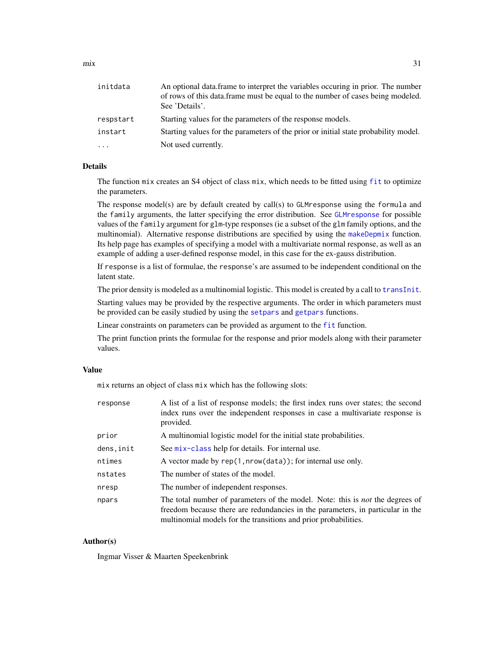<span id="page-30-0"></span>

| initdata  | An optional data frame to interpret the variables occuring in prior. The number<br>of rows of this data.frame must be equal to the number of cases being modeled.<br>See 'Details'. |
|-----------|-------------------------------------------------------------------------------------------------------------------------------------------------------------------------------------|
| respstart | Starting values for the parameters of the response models.                                                                                                                          |
| instart   | Starting values for the parameters of the prior or initial state probability model.                                                                                                 |
| $\cdots$  | Not used currently.                                                                                                                                                                 |

### Details

The function mix creates an S4 object of class mix, which needs to be [fit](#page-14-1)ted using fit to optimize the parameters.

The response model(s) are by default created by call(s) to GLMresponse using the formula and the family arguments, the latter specifying the error distribution. See [GLMresponse](#page-21-1) for possible values of the family argument for glm-type responses (ie a subset of the glm family options, and the multinomial). Alternative response distributions are specified by using the [makeDepmix](#page-24-1) function. Its help page has examples of specifying a model with a multivariate normal response, as well as an example of adding a user-defined response model, in this case for the ex-gauss distribution.

If response is a list of formulae, the response's are assumed to be independent conditional on the latent state.

The prior density is modeled as a multinomial logistic. This model is created by a call to [transInit](#page-47-1).

Starting values may be provided by the respective arguments. The order in which parameters must be provided can be easily studied by using the [setpars](#page-8-1) and [getpars](#page-8-1) functions.

Linear constraints on parameters can be provided as argument to the [fit](#page-14-1) function.

The print function prints the formulae for the response and prior models along with their parameter values.

### Value

mix returns an object of class mix which has the following slots:

| response   | A list of a list of response models; the first index runs over states; the second<br>index runs over the independent responses in case a multivariate response is<br>provided.                                                            |
|------------|-------------------------------------------------------------------------------------------------------------------------------------------------------------------------------------------------------------------------------------------|
| prior      | A multinomial logistic model for the initial state probabilities.                                                                                                                                                                         |
| dens, init | See mix-class help for details. For internal use.                                                                                                                                                                                         |
| ntimes     | A vector made by rep(1, nrow(data)); for internal use only.                                                                                                                                                                               |
| nstates    | The number of states of the model.                                                                                                                                                                                                        |
| nresp      | The number of independent responses.                                                                                                                                                                                                      |
| npars      | The total number of parameters of the model. Note: this is <i>not</i> the degrees of<br>freedom because there are redundancies in the parameters, in particular in the<br>multinomial models for the transitions and prior probabilities. |

### Author(s)

Ingmar Visser & Maarten Speekenbrink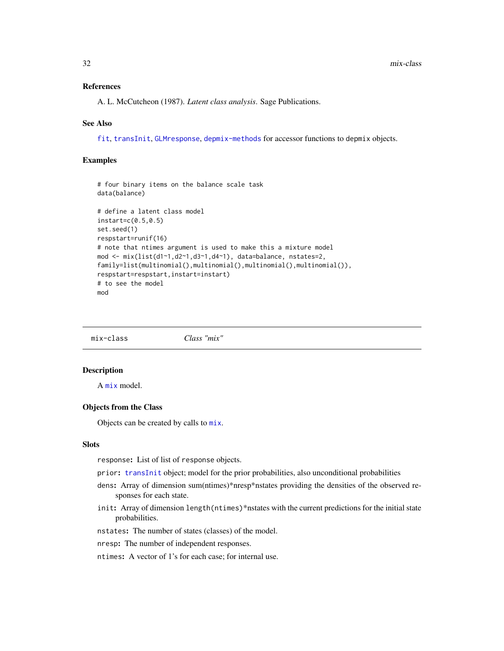### <span id="page-31-0"></span>References

A. L. McCutcheon (1987). *Latent class analysis*. Sage Publications.

### See Also

[fit](#page-14-1), [transInit](#page-47-1), [GLMresponse](#page-21-1), [depmix-methods](#page-8-2) for accessor functions to depmix objects.

### Examples

```
# four binary items on the balance scale task
data(balance)
# define a latent class model
instart=c(0.5,0.5)
set.seed(1)
respstart=runif(16)
# note that ntimes argument is used to make this a mixture model
mod <- mix(list(d1~1,d2~1,d3~1,d4~1), data=balance, nstates=2,
family=list(multinomial(),multinomial(),multinomial(),multinomial()),
respstart=respstart,instart=instart)
# to see the model
mod
```
<span id="page-31-1"></span>mix-class *Class "mix"*

### Description

A [mix](#page-29-1) model.

### Objects from the Class

Objects can be created by calls to [mix](#page-29-1).

#### Slots

response: List of list of response objects.

prior: [transInit](#page-47-1) object; model for the prior probabilities, also unconditional probabilities

- dens: Array of dimension sum(ntimes)\*nresp\*nstates providing the densities of the observed responses for each state.
- init: Array of dimension length (ntimes)\*nstates with the current predictions for the initial state probabilities.
- nstates: The number of states (classes) of the model.
- nresp: The number of independent responses.

ntimes: A vector of 1's for each case; for internal use.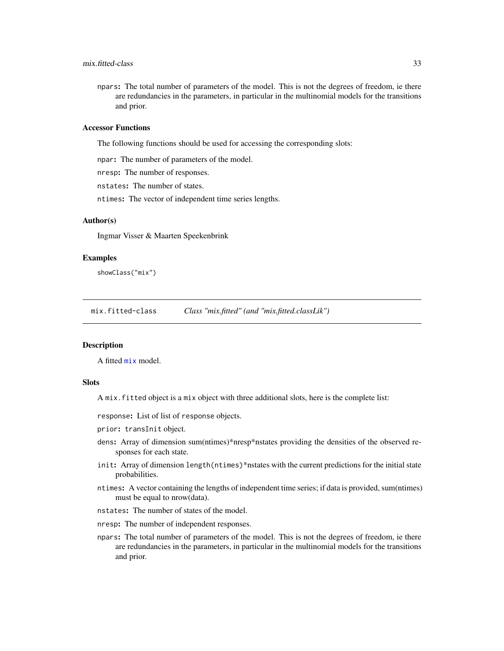### <span id="page-32-0"></span>mix.fitted-class 33

npars: The total number of parameters of the model. This is not the degrees of freedom, ie there are redundancies in the parameters, in particular in the multinomial models for the transitions and prior.

### Accessor Functions

The following functions should be used for accessing the corresponding slots:

npar: The number of parameters of the model.

nresp: The number of responses.

nstates: The number of states.

ntimes: The vector of independent time series lengths.

### Author(s)

Ingmar Visser & Maarten Speekenbrink

### Examples

showClass("mix")

mix.fitted-class *Class "mix.fitted" (and "mix.fitted.classLik")*

### **Description**

A fitted [mix](#page-29-1) model.

### **Slots**

A mix.fitted object is a mix object with three additional slots, here is the complete list:

response: List of list of response objects.

prior: transInit object.

- dens: Array of dimension sum(ntimes)\*nresp\*nstates providing the densities of the observed responses for each state.
- init: Array of dimension length(ntimes)\*nstates with the current predictions for the initial state probabilities.
- ntimes: A vector containing the lengths of independent time series; if data is provided, sum(ntimes) must be equal to nrow(data).
- nstates: The number of states of the model.
- nresp: The number of independent responses.
- npars: The total number of parameters of the model. This is not the degrees of freedom, ie there are redundancies in the parameters, in particular in the multinomial models for the transitions and prior.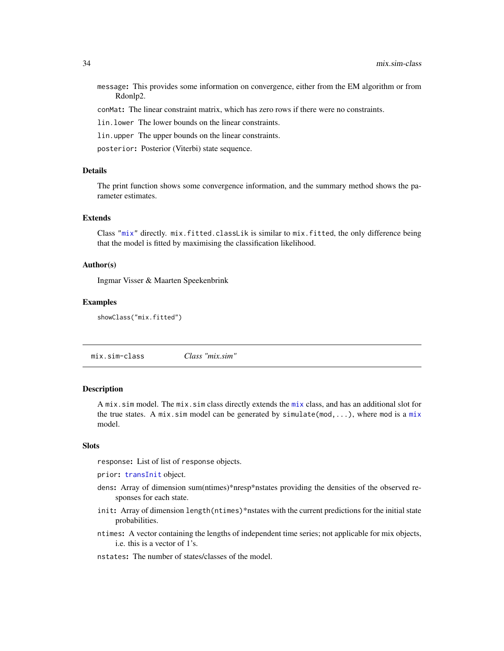<span id="page-33-0"></span>message: This provides some information on convergence, either from the EM algorithm or from Rdonlp2.

conMat: The linear constraint matrix, which has zero rows if there were no constraints.

lin.lower The lower bounds on the linear constraints.

lin.upper The upper bounds on the linear constraints.

posterior: Posterior (Viterbi) state sequence.

### Details

The print function shows some convergence information, and the summary method shows the parameter estimates.

### Extends

Class ["mix"](#page-31-1) directly. mix.fitted.classLik is similar to mix.fitted, the only difference being that the model is fitted by maximising the classification likelihood.

### Author(s)

Ingmar Visser & Maarten Speekenbrink

### Examples

showClass("mix.fitted")

mix.sim-class *Class "mix.sim"*

### Description

A [mix](#page-29-1).sim model. The mix.sim class directly extends the mix class, and has an additional slot for the true states. A [mix](#page-29-1).sim model can be generated by simulate(mod,...), where mod is a mix model.

### Slots

response: List of list of response objects.

prior: [transInit](#page-47-1) object.

- dens: Array of dimension sum(ntimes)\*nresp\*nstates providing the densities of the observed responses for each state.
- init: Array of dimension length(ntimes)\*nstates with the current predictions for the initial state probabilities.
- ntimes: A vector containing the lengths of independent time series; not applicable for mix objects, i.e. this is a vector of 1's.
- nstates: The number of states/classes of the model.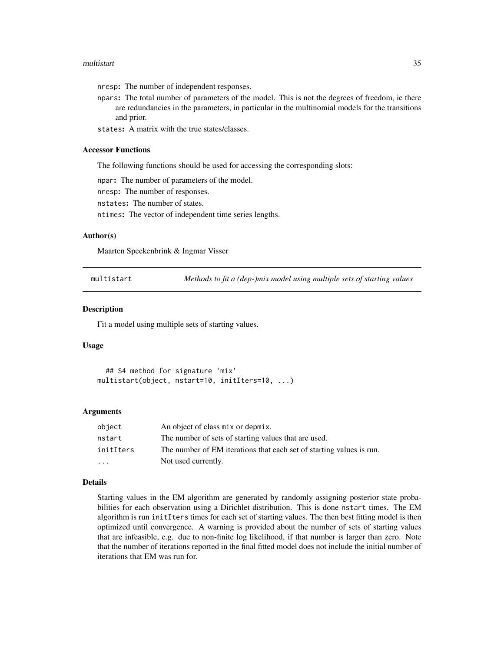#### <span id="page-34-0"></span>multistart 35

nresp: The number of independent responses.

npars: The total number of parameters of the model. This is not the degrees of freedom, ie there are redundancies in the parameters, in particular in the multinomial models for the transitions and prior.

states: A matrix with the true states/classes.

### Accessor Functions

The following functions should be used for accessing the corresponding slots:

npar: The number of parameters of the model.

nresp: The number of responses.

nstates: The number of states.

ntimes: The vector of independent time series lengths.

### Author(s)

Maarten Speekenbrink & Ingmar Visser

multistart *Methods to fit a (dep-)mix model using multiple sets of starting values*

#### Description

Fit a model using multiple sets of starting values.

### Usage

```
## S4 method for signature 'mix'
multistart(object, nstart=10, initIters=10, ...)
```
#### Arguments

| object                  | An object of class mix or depmix.                                    |
|-------------------------|----------------------------------------------------------------------|
| nstart                  | The number of sets of starting values that are used.                 |
| initIters               | The number of EM iterations that each set of starting values is run. |
| $\cdot$ $\cdot$ $\cdot$ | Not used currently.                                                  |

#### Details

Starting values in the EM algorithm are generated by randomly assigning posterior state probabilities for each observation using a Dirichlet distribution. This is done nstart times. The EM algorithm is run initIters times for each set of starting values. The then best fitting model is then optimized until convergence. A warning is provided about the number of sets of starting values that are infeasible, e.g. due to non-finite log likelihood, if that number is larger than zero. Note that the number of iterations reported in the final fitted model does not include the initial number of iterations that EM was run for.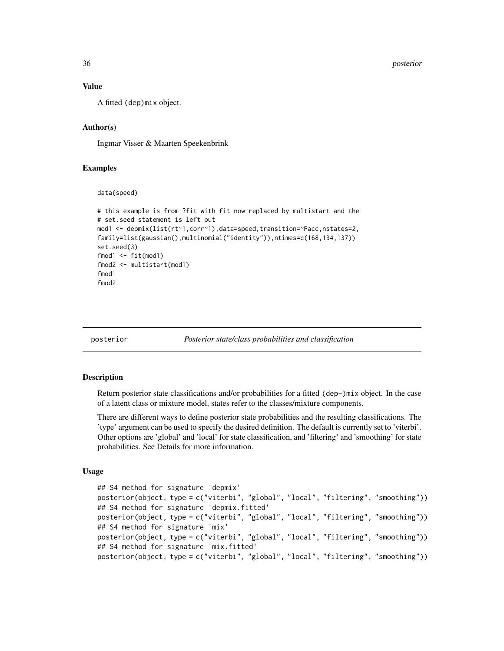36 posterior

#### Value

A fitted (dep)mix object.

### Author(s)

Ingmar Visser & Maarten Speekenbrink

### Examples

```
data(speed)
```

```
# this example is from ?fit with fit now replaced by multistart and the
# set.seed statement is left out
mod1 <- depmix(list(rt~1,corr~1),data=speed,transition=~Pacc,nstates=2,
family=list(gaussian(),multinomial("identity")),ntimes=c(168,134,137))
set.seed(3)
fmod1 < -fit(mod1)fmod2 <- multistart(mod1)
fmod1
fmod2
```
<span id="page-35-1"></span>posterior *Posterior state/class probabilities and classification*

#### **Description**

Return posterior state classifications and/or probabilities for a fitted (dep-)mix object. In the case of a latent class or mixture model, states refer to the classes/mixture components.

There are different ways to define posterior state probabilities and the resulting classifications. The 'type' argument can be used to specify the desired definition. The default is currently set to 'viterbi'. Other options are 'global' and 'local' for state classification, and 'filtering' and 'smoothing' for state probabilities. See Details for more information.

### Usage

```
## S4 method for signature 'depmix'
posterior(object, type = c("viterbi", "global", "local", "filtering", "smoothing"))
## S4 method for signature 'depmix.fitted'
posterior(object, type = c("viterbi", "global", "local", "filtering", "smoothing"))
## S4 method for signature 'mix'
posterior(object, type = c("viterbi", "global", "local", "filtering", "smoothing"))
## S4 method for signature 'mix.fitted'
posterior(object, type = c("viterbi", "global", "local", "filtering", "smoothing"))
```
<span id="page-35-0"></span>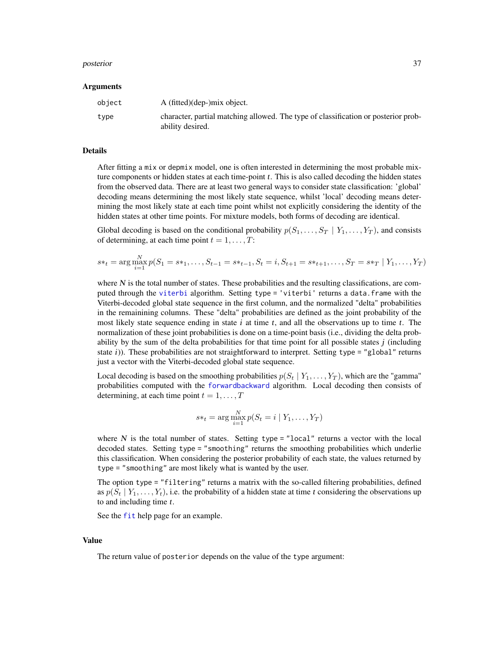#### <span id="page-36-0"></span>posterior and the set of the set of the set of the set of the set of the set of the set of the set of the set o

#### Arguments

| obiect | A (fitted)(dep-)mix object.                                                                            |
|--------|--------------------------------------------------------------------------------------------------------|
| type   | character, partial matching allowed. The type of classification or posterior prob-<br>ability desired. |

### Details

After fitting a mix or depmix model, one is often interested in determining the most probable mixture components or hidden states at each time-point  $t$ . This is also called decoding the hidden states from the observed data. There are at least two general ways to consider state classification: 'global' decoding means determining the most likely state sequence, whilst 'local' decoding means determining the most likely state at each time point whilst not explicitly considering the identity of the hidden states at other time points. For mixture models, both forms of decoding are identical.

Global decoding is based on the conditional probability  $p(S_1, \ldots, S_T | Y_1, \ldots, Y_T)$ , and consists of determining, at each time point  $t = 1, \ldots, T$ :

$$
s*_t = \arg\max_{i=1}^N p(S_1 = s*_1, \dots, S_{t-1} = s*_t-1, S_t = i, S_{t+1} = s*_t+1, \dots, S_T = s*_T \mid Y_1, \dots, Y_T)
$$

where  $N$  is the total number of states. These probabilities and the resulting classifications, are computed through the [viterbi](#page-51-1) algorithm. Setting type = 'viterbi' returns a data.frame with the Viterbi-decoded global state sequence in the first column, and the normalized "delta" probabilities in the remainining columns. These "delta" probabilities are defined as the joint probability of the most likely state sequence ending in state  $i$  at time  $t$ , and all the observations up to time  $t$ . The normalization of these joint probabilities is done on a time-point basis (i.e., dividing the delta probability by the sum of the delta probabilities for that time point for all possible states  $j$  (including state i)). These probabilities are not straightforward to interpret. Setting type = "global" returns just a vector with the Viterbi-decoded global state sequence.

Local decoding is based on the smoothing probabilities  $p(S_t | Y_1, \ldots, Y_T)$ , which are the "gamma" probabilities computed with the [forwardbackward](#page-20-1) algorithm. Local decoding then consists of determining, at each time point  $t = 1, \ldots, T$ 

$$
s*_t = \arg\max_{i=1}^N p(S_t = i \mid Y_1, \dots, Y_T)
$$

where  $N$  is the total number of states. Setting type = "local" returns a vector with the local decoded states. Setting type = "smoothing" returns the smoothing probabilities which underlie this classification. When considering the posterior probability of each state, the values returned by type = "smoothing" are most likely what is wanted by the user.

The option type = "filtering" returns a matrix with the so-called filtering probabilities, defined as  $p(S_t | Y_1, \ldots, Y_t)$ , i.e. the probability of a hidden state at time t considering the observations up to and including time  $t$ .

See the [fit](#page-14-1) help page for an example.

#### Value

The return value of posterior depends on the value of the type argument: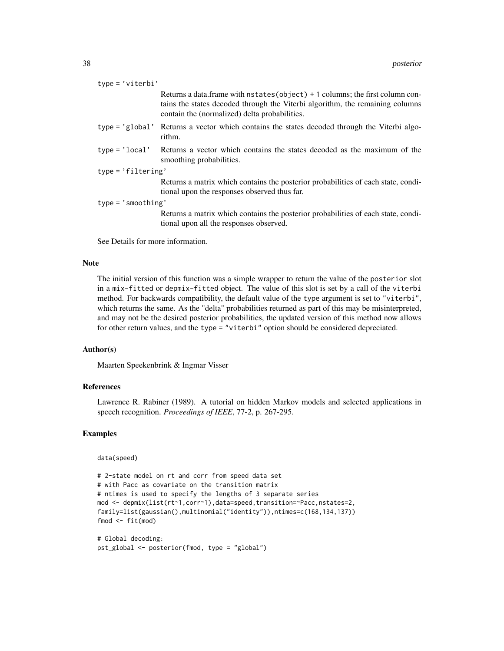| $type = 'viterbi'$   |                                                                                                                                                                                                                 |  |
|----------------------|-----------------------------------------------------------------------------------------------------------------------------------------------------------------------------------------------------------------|--|
|                      | Returns a data.frame with nstates (object) + 1 columns; the first column con-<br>tains the states decoded through the Viterbi algorithm, the remaining columns<br>contain the (normalized) delta probabilities. |  |
| $type='global'$      | Returns a vector which contains the states decoded through the Viterbi algo-<br>rithm.                                                                                                                          |  |
| $type = 'local'$     | Returns a vector which contains the states decoded as the maximum of the<br>smoothing probabilities.                                                                                                            |  |
| $type = 'filtering'$ |                                                                                                                                                                                                                 |  |
|                      | Returns a matrix which contains the posterior probabilities of each state, condi-<br>tional upon the responses observed thus far.                                                                               |  |
| $type = 'smoothing'$ |                                                                                                                                                                                                                 |  |
|                      | Returns a matrix which contains the posterior probabilities of each state, condi-<br>tional upon all the responses observed.                                                                                    |  |

See Details for more information.

### Note

The initial version of this function was a simple wrapper to return the value of the posterior slot in a mix-fitted or depmix-fitted object. The value of this slot is set by a call of the viterbi method. For backwards compatibility, the default value of the type argument is set to "viterbi", which returns the same. As the "delta" probabilities returned as part of this may be misinterpreted, and may not be the desired posterior probabilities, the updated version of this method now allows for other return values, and the type = "viterbi" option should be considered depreciated.

### Author(s)

Maarten Speekenbrink & Ingmar Visser

### References

Lawrence R. Rabiner (1989). A tutorial on hidden Markov models and selected applications in speech recognition. *Proceedings of IEEE*, 77-2, p. 267-295.

### Examples

data(speed)

```
# 2-state model on rt and corr from speed data set
# with Pacc as covariate on the transition matrix
# ntimes is used to specify the lengths of 3 separate series
mod <- depmix(list(rt~1,corr~1),data=speed,transition=~Pacc,nstates=2,
family=list(gaussian(),multinomial("identity")),ntimes=c(168,134,137))
fmod <- fit(mod)
```

```
# Global decoding:
pst_global <- posterior(fmod, type = "global")
```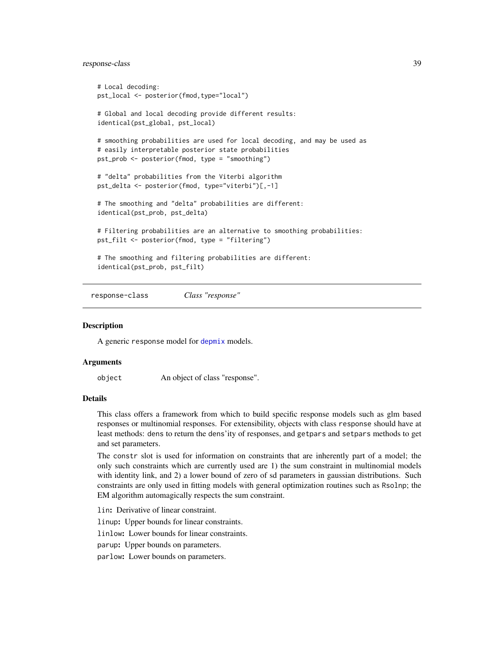### <span id="page-38-0"></span>response-class 39

```
# Local decoding:
pst_local <- posterior(fmod,type="local")
# Global and local decoding provide different results:
identical(pst_global, pst_local)
# smoothing probabilities are used for local decoding, and may be used as
# easily interpretable posterior state probabilities
pst_prob <- posterior(fmod, type = "smoothing")
# "delta" probabilities from the Viterbi algorithm
pst_delta <- posterior(fmod, type="viterbi")[,-1]
# The smoothing and "delta" probabilities are different:
identical(pst_prob, pst_delta)
# Filtering probabilities are an alternative to smoothing probabilities:
pst_filt <- posterior(fmod, type = "filtering")
# The smoothing and filtering probabilities are different:
identical(pst_prob, pst_filt)
```
<span id="page-38-1"></span>response-class *Class "response"*

### **Description**

A generic response model for [depmix](#page-3-1) models.

### Arguments

object An object of class "response".

### Details

This class offers a framework from which to build specific response models such as glm based responses or multinomial responses. For extensibility, objects with class response should have at least methods: dens to return the dens'ity of responses, and getpars and setpars methods to get and set parameters.

The constr slot is used for information on constraints that are inherently part of a model; the only such constraints which are currently used are 1) the sum constraint in multinomial models with identity link, and 2) a lower bound of zero of sd parameters in gaussian distributions. Such constraints are only used in fitting models with general optimization routines such as Rsolnp; the EM algorithm automagically respects the sum constraint.

lin: Derivative of linear constraint. linup: Upper bounds for linear constraints. linlow: Lower bounds for linear constraints. parup: Upper bounds on parameters. parlow: Lower bounds on parameters.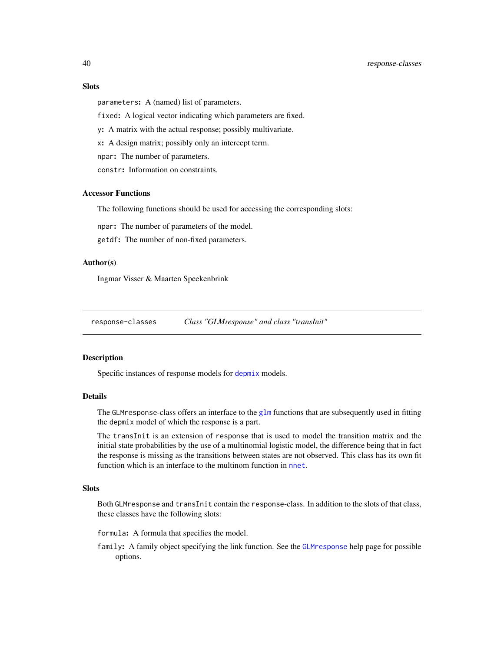### <span id="page-39-0"></span>40 response-classes

### **Slots**

parameters: A (named) list of parameters.

fixed: A logical vector indicating which parameters are fixed.

y: A matrix with the actual response; possibly multivariate.

x: A design matrix; possibly only an intercept term.

npar: The number of parameters.

constr: Information on constraints.

### Accessor Functions

The following functions should be used for accessing the corresponding slots:

npar: The number of parameters of the model.

getdf: The number of non-fixed parameters.

### Author(s)

Ingmar Visser & Maarten Speekenbrink

response-classes *Class "GLMresponse" and class "transInit"*

### Description

Specific instances of response models for [depmix](#page-3-1) models.

### Details

The GLM response-class offers an interface to the [glm](#page-0-0) functions that are subsequently used in fitting the depmix model of which the response is a part.

The transInit is an extension of response that is used to model the transition matrix and the initial state probabilities by the use of a multinomial logistic model, the difference being that in fact the response is missing as the transitions between states are not observed. This class has its own fit function which is an interface to the multinom function in [nnet](#page-0-0).

### **Slots**

Both GLMresponse and transInit contain the response-class. In addition to the slots of that class, these classes have the following slots:

formula: A formula that specifies the model.

family: A family object specifying the link function. See the [GLMresponse](#page-21-1) help page for possible options.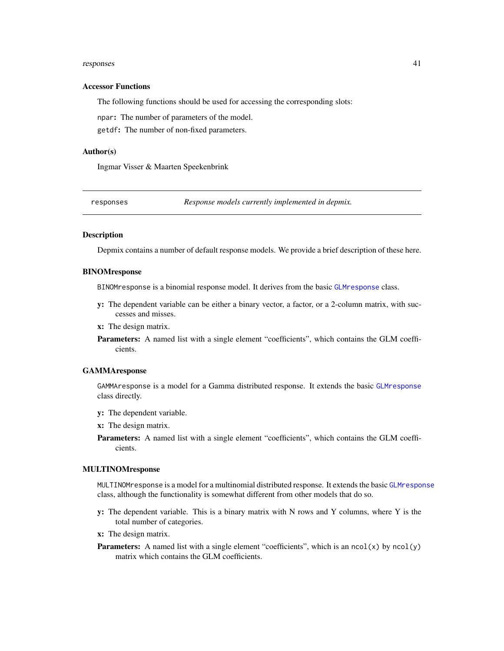#### <span id="page-40-0"></span>responses 41

#### Accessor Functions

The following functions should be used for accessing the corresponding slots:

npar: The number of parameters of the model.

getdf: The number of non-fixed parameters.

#### Author(s)

Ingmar Visser & Maarten Speekenbrink

<span id="page-40-1"></span>responses *Response models currently implemented in depmix.*

### Description

Depmix contains a number of default response models. We provide a brief description of these here.

### BINOMresponse

BINOMresponse is a binomial response model. It derives from the basic [GLMresponse](#page-21-1) class.

- y: The dependent variable can be either a binary vector, a factor, or a 2-column matrix, with successes and misses.
- x: The design matrix.
- Parameters: A named list with a single element "coefficients", which contains the GLM coefficients.

#### GAMMAresponse

GAMMAresponse is a model for a Gamma distributed response. It extends the basic [GLMresponse](#page-21-1) class directly.

- y: The dependent variable.
- x: The design matrix.
- Parameters: A named list with a single element "coefficients", which contains the GLM coefficients.

### MULTINOMresponse

MULTINOMresponse is a model for a multinomial distributed response. It extends the basic [GLMresponse](#page-21-1) class, although the functionality is somewhat different from other models that do so.

- y: The dependent variable. This is a binary matrix with N rows and Y columns, where Y is the total number of categories.
- x: The design matrix.
- **Parameters:** A named list with a single element "coefficients", which is an  $ncol(x)$  by  $ncol(y)$ matrix which contains the GLM coefficients.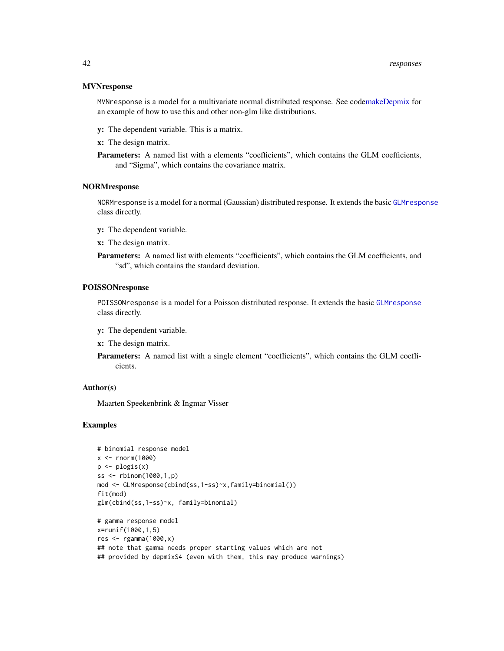### **MVNresponse**

MVNresponse is a model for a multivariate normal distributed response. See cod[emakeDepmix](#page-24-1) for an example of how to use this and other non-glm like distributions.

y: The dependent variable. This is a matrix.

x: The design matrix.

Parameters: A named list with a elements "coefficients", which contains the GLM coefficients, and "Sigma", which contains the covariance matrix.

### NORMresponse

NORMresponse is a model for a normal (Gaussian) distributed response. It extends the basic [GLMresponse](#page-21-1) class directly.

- y: The dependent variable.
- x: The design matrix.
- Parameters: A named list with elements "coefficients", which contains the GLM coefficients, and "sd", which contains the standard deviation.

### POISSONresponse

POISSONresponse is a model for a Poisson distributed response. It extends the basic [GLMresponse](#page-21-1) class directly.

- y: The dependent variable.
- x: The design matrix.
- Parameters: A named list with a single element "coefficients", which contains the GLM coefficients.

### Author(s)

Maarten Speekenbrink & Ingmar Visser

### Examples

```
# binomial response model
x < - rnorm(1000)
p \leftarrow p \log(s(x))ss <- rbinom(1000,1,p)
mod <- GLMresponse(cbind(ss,1-ss)~x,family=binomial())
fit(mod)
glm(cbind(ss,1-ss)~x, family=binomial)
# gamma response model
x=runif(1000,1,5)
```

```
res <- rgamma(1000,x)
## note that gamma needs proper starting values which are not
## provided by depmixS4 (even with them, this may produce warnings)
```
<span id="page-41-0"></span>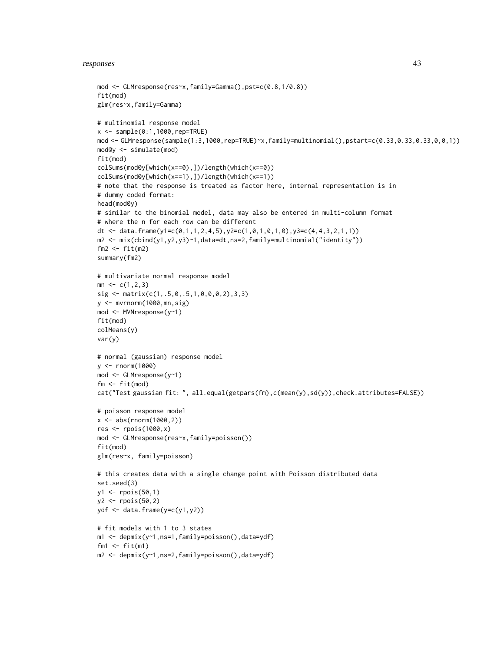#### responses 43

```
mod <- GLMresponse(res~x,family=Gamma(),pst=c(0.8,1/0.8))
fit(mod)
glm(res~x,family=Gamma)
# multinomial response model
x < - sample(0:1,1000, rep=TRUE)
mod <- GLMresponse(sample(1:3,1000,rep=TRUE)~x,family=multinomial(),pstart=c(0.33,0.33,0.33,0,0,1))
mod@y <- simulate(mod)
fit(mod)
colSums(mod@y[which(x==0),])/length(which(x==0))
colSums(mod@y[which(x==1),])/length(which(x==1))
# note that the response is treated as factor here, internal representation is in
# dummy coded format:
head(mod@y)
# similar to the binomial model, data may also be entered in multi-column format
# where the n for each row can be different
dt <- data.frame(y1=c(0,1,1,2,4,5),y2=c(1,0,1,0,1,0),y3=c(4,4,3,2,1,1))
m2 <- mix(cbind(y1,y2,y3)~1,data=dt,ns=2,family=multinomial("identity"))
fm2 \leftarrow fit(m2)summary(fm2)
# multivariate normal response model
mn \leq c(1,2,3)sig <- matrix(c(1,.5,0,.5,1,0,0,0,2),3,3)
y <- mvrnorm(1000,mn,sig)
mod <- MVNresponse(y~1)
fit(mod)
colMeans(y)
var(y)
# normal (gaussian) response model
y <- rnorm(1000)
mod <- GLMresponse(y~1)
fm <- fit(mod)
cat("Test gaussian fit: ", all.equal(getpars(fm),c(mean(y),sd(y)),check.attributes=FALSE))
# poisson response model
x <- abs(rnorm(1000,2))
res <- rpois(1000,x)
mod <- GLMresponse(res~x,family=poisson())
fit(mod)
glm(res~x, family=poisson)
# this creates data with a single change point with Poisson distributed data
set.seed(3)
y1 <- rpois(50,1)
y2 <- rpois(50,2)
ydf <- data.frame(y=c(y1,y2))
# fit models with 1 to 3 states
m1 <- depmix(y~1,ns=1,family=poisson(),data=ydf)
fm1 <- fit(m1)
m2 <- depmix(y~1,ns=2,family=poisson(),data=ydf)
```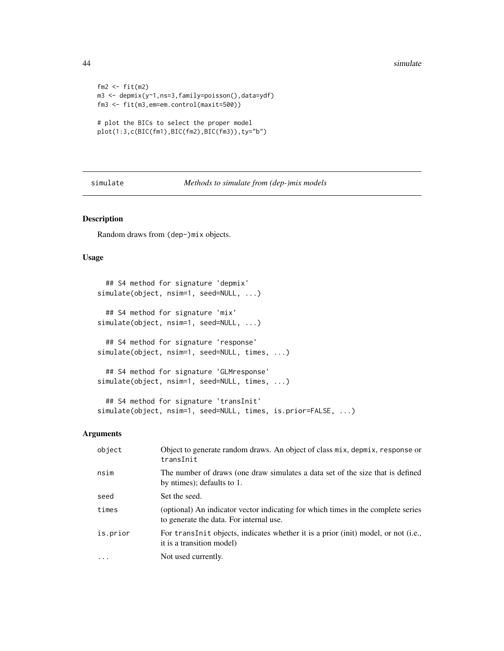```
fm2 < - fit(m2)m3 <- depmix(y~1,ns=3,family=poisson(),data=ydf)
fm3 <- fit(m3,em=em.control(maxit=500))
# plot the BICs to select the proper model
```

```
plot(1:3,c(BIC(fm1),BIC(fm2),BIC(fm3)),ty="b")
```
simulate *Methods to simulate from (dep-)mix models*

### Description

Random draws from (dep-)mix objects.

### Usage

```
## S4 method for signature 'depmix'
simulate(object, nsim=1, seed=NULL, ...)
  ## S4 method for signature 'mix'
simulate(object, nsim=1, seed=NULL, ...)
  ## S4 method for signature 'response'
simulate(object, nsim=1, seed=NULL, times, ...)
 ## S4 method for signature 'GLMresponse'
simulate(object, nsim=1, seed=NULL, times, ...)
 ## S4 method for signature 'transInit'
simulate(object, nsim=1, seed=NULL, times, is.prior=FALSE, ...)
```
### Arguments

| object   | Object to generate random draws. An object of class mix, depmix, response or<br>transInit                                   |
|----------|-----------------------------------------------------------------------------------------------------------------------------|
| nsim     | The number of draws (one draw simulates a data set of the size that is defined<br>by ntimes); defaults to 1.                |
| seed     | Set the seed.                                                                                                               |
| times    | (optional) An indicator vector indicating for which times in the complete series<br>to generate the data. For internal use. |
| is.prior | For transInit objects, indicates whether it is a prior (init) model, or not (i.e.,<br>it is a transition model)             |
| $\cdot$  | Not used currently.                                                                                                         |

<span id="page-43-0"></span>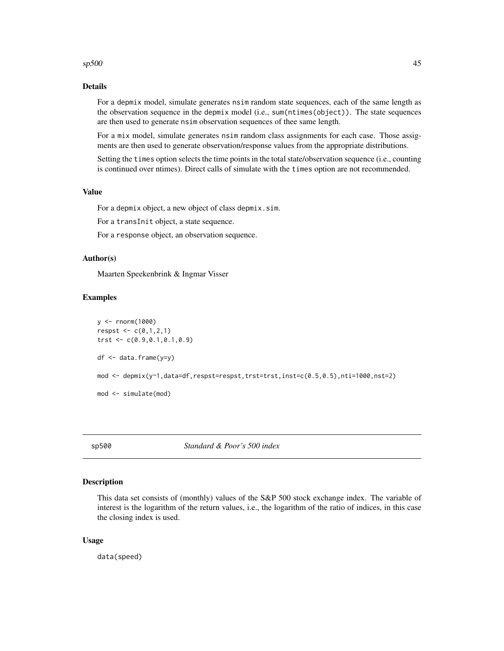### <span id="page-44-0"></span> $\epsilon$ sp500 45

### Details

For a depmix model, simulate generates nsim random state sequences, each of the same length as the observation sequence in the depmix model (i.e., sum(ntimes(object)). The state sequences are then used to generate nsim observation sequences of thee same length.

For a mix model, simulate generates nsim random class assignments for each case. Those assigments are then used to generate observation/response values from the appropriate distributions.

Setting the times option selects the time points in the total state/observation sequence (i.e., counting is continued over ntimes). Direct calls of simulate with the times option are not recommended.

### Value

For a depmix object, a new object of class depmix.sim.

For a transInit object, a state sequence.

For a response object, an observation sequence.

### Author(s)

Maarten Speekenbrink & Ingmar Visser

### Examples

```
y <- rnorm(1000)
respst \leq c(0,1,2,1)trst <- c(0.9,0.1,0.1,0.9)
df <- data.frame(y=y)
mod <- depmix(y~1,data=df,respst=respst,trst=trst,inst=c(0.5,0.5),nti=1000,nst=2)
mod <- simulate(mod)
```
sp500 *Standard & Poor's 500 index*

### Description

This data set consists of (monthly) values of the S&P 500 stock exchange index. The variable of interest is the logarithm of the return values, i.e., the logarithm of the ratio of indices, in this case the closing index is used.

#### Usage

data(speed)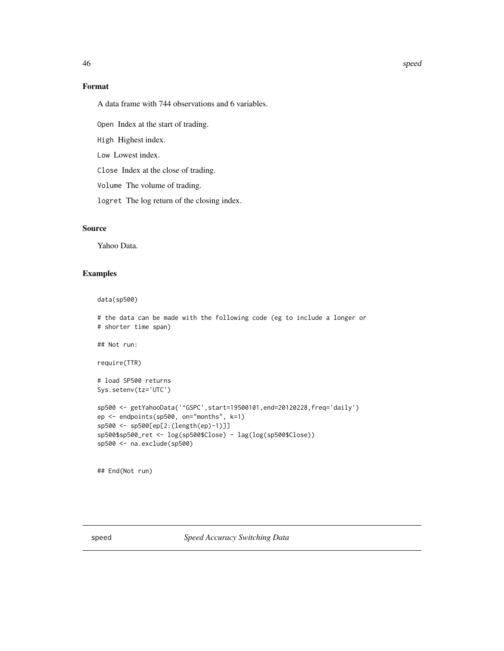### Format

A data frame with 744 observations and 6 variables.

Open Index at the start of trading.

High Highest index.

Low Lowest index.

Close Index at the close of trading.

Volume The volume of trading.

logret The log return of the closing index.

### Source

Yahoo Data.

### Examples

data(sp500)

```
# the data can be made with the following code (eg to include a longer or
# shorter time span)
## Not run:
require(TTR)
# load SP500 returns
Sys.setenv(tz='UTC')
sp500 <- getYahooData('^GSPC',start=19500101,end=20120228,freq='daily')
ep <- endpoints(sp500, on="months", k=1)
sp500 <- sp500[ep[2:(length(ep)-1)]]
sp500$sp500_ret <- log(sp500$Close) - lag(log(sp500$Close))
sp500 <- na.exclude(sp500)
```
## End(Not run)

speed *Speed Accuracy Switching Data*

<span id="page-45-0"></span>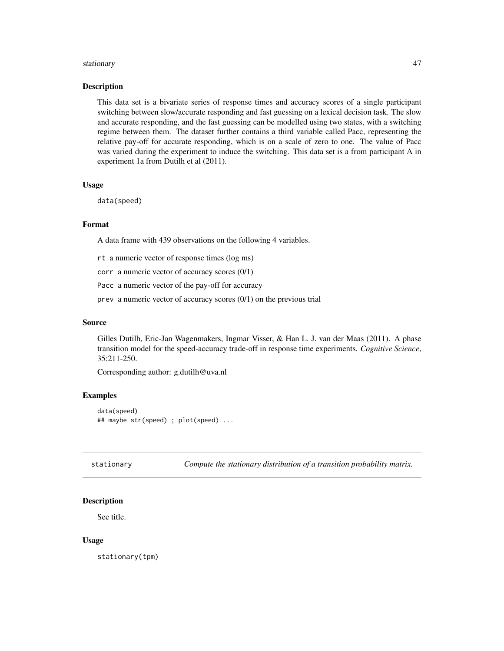#### <span id="page-46-0"></span>stationary and the stationary of the stationary of the stationary of the stationary of the stationary of the stationary of the stationary of the stationary of the stationary of the stationary of the stationary of the stati

### Description

This data set is a bivariate series of response times and accuracy scores of a single participant switching between slow/accurate responding and fast guessing on a lexical decision task. The slow and accurate responding, and the fast guessing can be modelled using two states, with a switching regime between them. The dataset further contains a third variable called Pacc, representing the relative pay-off for accurate responding, which is on a scale of zero to one. The value of Pacc was varied during the experiment to induce the switching. This data set is a from participant A in experiment 1a from Dutilh et al (2011).

### Usage

```
data(speed)
```
### Format

A data frame with 439 observations on the following 4 variables.

rt a numeric vector of response times (log ms)

corr a numeric vector of accuracy scores (0/1)

Pacc a numeric vector of the pay-off for accuracy

prev a numeric vector of accuracy scores (0/1) on the previous trial

#### Source

Gilles Dutilh, Eric-Jan Wagenmakers, Ingmar Visser, & Han L. J. van der Maas (2011). A phase transition model for the speed-accuracy trade-off in response time experiments. *Cognitive Science*, 35:211-250.

Corresponding author: g.dutilh@uva.nl

### Examples

data(speed) ## maybe str(speed) ; plot(speed) ...

stationary *Compute the stationary distribution of a transition probability matrix.*

### Description

See title.

### Usage

stationary(tpm)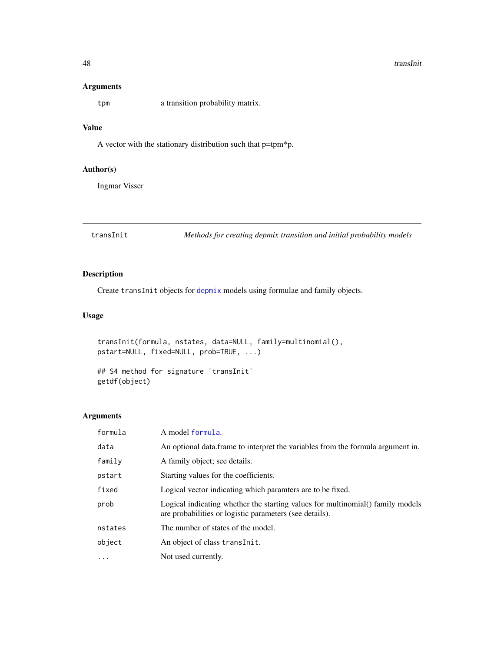#### 48 transInition of the contract of the contract of the contract of the contract of the contract of the contract of the contract of the contract of the contract of the contract of the contract of the contract of the contrac

### Arguments

tpm a transition probability matrix.

### Value

A vector with the stationary distribution such that p=tpm\*p.

### Author(s)

Ingmar Visser

<span id="page-47-1"></span>transInit *Methods for creating depmix transition and initial probability models*

### Description

Create transInit objects for [depmix](#page-3-1) models using formulae and family objects.

### Usage

```
transInit(formula, nstates, data=NULL, family=multinomial(),
pstart=NULL, fixed=NULL, prob=TRUE, ...)
```
## S4 method for signature 'transInit' getdf(object)

### Arguments

| formula   | A model formula.                                                                                                                          |
|-----------|-------------------------------------------------------------------------------------------------------------------------------------------|
| data      | An optional data frame to interpret the variables from the formula argument in.                                                           |
| family    | A family object; see details.                                                                                                             |
| pstart    | Starting values for the coefficients.                                                                                                     |
| fixed     | Logical vector indicating which paramters are to be fixed.                                                                                |
| prob      | Logical indicating whether the starting values for multinomial() family models<br>are probabilities or logistic parameters (see details). |
| nstates   | The number of states of the model.                                                                                                        |
| object    | An object of class transInit.                                                                                                             |
| $\ddotsc$ | Not used currently.                                                                                                                       |

<span id="page-47-0"></span>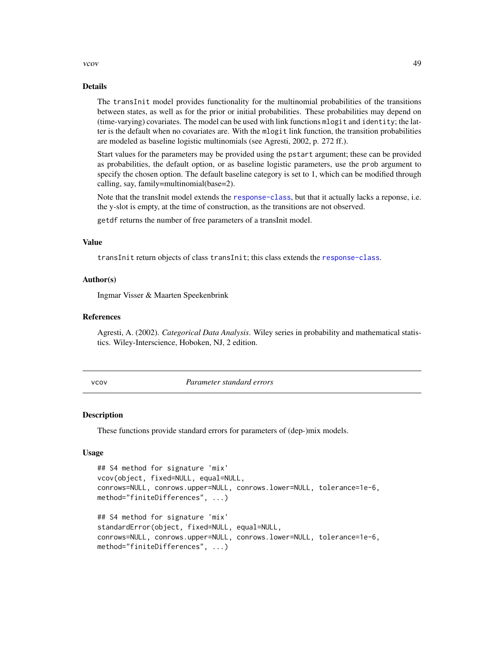#### <span id="page-48-0"></span>vcov and the set of the set of the set of the set of the set of the set of the set of the set of the set of the set of the set of the set of the set of the set of the set of the set of the set of the set of the set of the

### Details

The transInit model provides functionality for the multinomial probabilities of the transitions between states, as well as for the prior or initial probabilities. These probabilities may depend on (time-varying) covariates. The model can be used with link functions mlogit and identity; the latter is the default when no covariates are. With the mlogit link function, the transition probabilities are modeled as baseline logistic multinomials (see Agresti, 2002, p. 272 ff.).

Start values for the parameters may be provided using the pstart argument; these can be provided as probabilities, the default option, or as baseline logistic parameters, use the prob argument to specify the chosen option. The default baseline category is set to 1, which can be modified through calling, say, family=multinomial(base=2).

Note that the transInit model extends the [response-class](#page-38-1), but that it actually lacks a reponse, i.e. the y-slot is empty, at the time of construction, as the transitions are not observed.

getdf returns the number of free parameters of a transInit model.

#### Value

transInit return objects of class transInit; this class extends the [response-class](#page-38-1).

### Author(s)

Ingmar Visser & Maarten Speekenbrink

### References

Agresti, A. (2002). *Categorical Data Analysis*. Wiley series in probability and mathematical statistics. Wiley-Interscience, Hoboken, NJ, 2 edition.

vcov *Parameter standard errors*

#### Description

These functions provide standard errors for parameters of (dep-)mix models.

#### Usage

```
## S4 method for signature 'mix'
vcov(object, fixed=NULL, equal=NULL,
conrows=NULL, conrows.upper=NULL, conrows.lower=NULL, tolerance=1e-6,
method="finiteDifferences", ...)
## S4 method for signature 'mix'
standardError(object, fixed=NULL, equal=NULL,
conrows=NULL, conrows.upper=NULL, conrows.lower=NULL, tolerance=1e-6,
method="finiteDifferences", ...)
```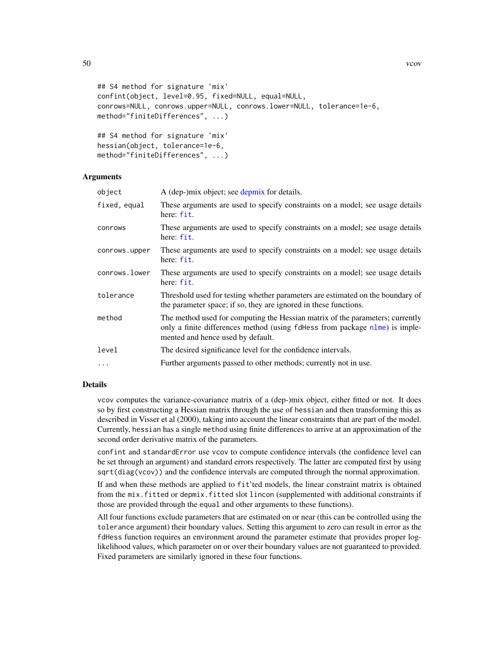```
## S4 method for signature 'mix'
confint(object, level=0.95, fixed=NULL, equal=NULL,
conrows=NULL, conrows.upper=NULL, conrows.lower=NULL, tolerance=1e-6,
method="finiteDifferences", ...)
## S4 method for signature 'mix'
hessian(object, tolerance=1e-6,
method="finiteDifferences", ...)
```
### Arguments

| object        | A (dep-)mix object; see depmix for details.                                                                                                                                                       |
|---------------|---------------------------------------------------------------------------------------------------------------------------------------------------------------------------------------------------|
| fixed, equal  | These arguments are used to specify constraints on a model; see usage details<br>here: fit.                                                                                                       |
| conrows       | These arguments are used to specify constraints on a model; see usage details<br>here: fit.                                                                                                       |
| conrows.upper | These arguments are used to specify constraints on a model; see usage details<br>here: fit.                                                                                                       |
| conrows.lower | These arguments are used to specify constraints on a model; see usage details<br>here: fit.                                                                                                       |
| tolerance     | Threshold used for testing whether parameters are estimated on the boundary of<br>the parameter space; if so, they are ignored in these functions.                                                |
| method        | The method used for computing the Hessian matrix of the parameters; currently<br>only a finite differences method (using fdHess from package nlme) is imple-<br>mented and hence used by default. |
| level         | The desired significance level for the confidence intervals.                                                                                                                                      |
| $\ldots$      | Further arguments passed to other methods; currently not in use.                                                                                                                                  |
|               |                                                                                                                                                                                                   |

### Details

vcov computes the variance-covariance matrix of a (dep-)mix object, either fitted or not. It does so by first constructing a Hessian matrix through the use of hessian and then transforming this as described in Visser et al (2000), taking into account the linear constraints that are part of the model. Currently, hessian has a single method using finite differences to arrive at an approximation of the second order derivative matrix of the parameters.

confint and standardError use vcov to compute confidence intervals (the confidence level can be set through an argument) and standard errors respectively. The latter are computed first by using sqrt(diag(vcov)) and the confidence intervals are computed through the normal approximation.

If and when these methods are applied to fit'ted models, the linear constraint matrix is obtained from the mix.fitted or depmix.fitted slot lincon (supplemented with additional constraints if those are provided through the equal and other arguments to these functions).

All four functions exclude parameters that are estimated on or near (this can be controlled using the tolerance argument) their boundary values. Setting this argument to zero can result in error as the fdHess function requires an environment around the parameter estimate that provides proper loglikelihood values, which parameter on or over their boundary values are not guaranteed to provided. Fixed parameters are similarly ignored in these four functions.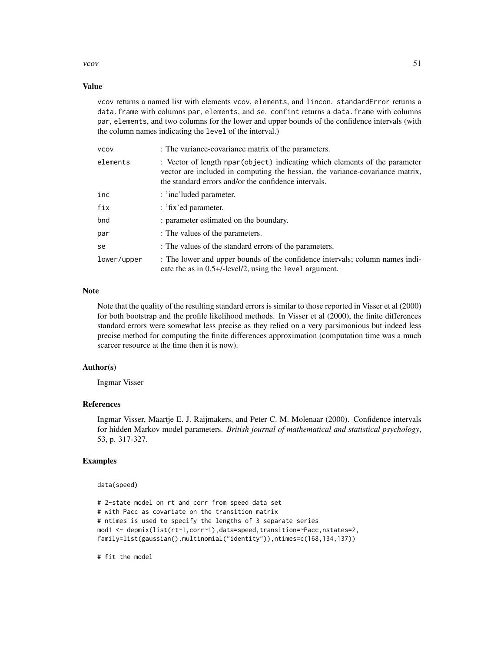#### vcov  $51$

### Value

vcov returns a named list with elements vcov, elements, and lincon. standardError returns a data. frame with columns par, elements, and se. confint returns a data. frame with columns par, elements, and two columns for the lower and upper bounds of the confidence intervals (with the column names indicating the level of the interval.)

| <b>VCOV</b> | : The variance-covariance matrix of the parameters.                                                                                                                                                                  |
|-------------|----------------------------------------------------------------------------------------------------------------------------------------------------------------------------------------------------------------------|
| elements    | : Vector of length npar (object) indicating which elements of the parameter<br>vector are included in computing the hessian, the variance-covariance matrix,<br>the standard errors and/or the confidence intervals. |
| inc         | : 'inc'luded parameter.                                                                                                                                                                                              |
| fix         | : 'fix'ed parameter.                                                                                                                                                                                                 |
| bnd         | : parameter estimated on the boundary.                                                                                                                                                                               |
| par         | : The values of the parameters.                                                                                                                                                                                      |
| se          | : The values of the standard errors of the parameters.                                                                                                                                                               |
| lower/upper | : The lower and upper bounds of the confidence intervals; column names indi-<br>cate the as in $0.5+/-$ level/2, using the level argument.                                                                           |

### Note

Note that the quality of the resulting standard errors is similar to those reported in Visser et al (2000) for both bootstrap and the profile likelihood methods. In Visser et al (2000), the finite differences standard errors were somewhat less precise as they relied on a very parsimonious but indeed less precise method for computing the finite differences approximation (computation time was a much scarcer resource at the time then it is now).

### Author(s)

Ingmar Visser

### References

Ingmar Visser, Maartje E. J. Raijmakers, and Peter C. M. Molenaar (2000). Confidence intervals for hidden Markov model parameters. *British journal of mathematical and statistical psychology*, 53, p. 317-327.

### Examples

data(speed)

```
# 2-state model on rt and corr from speed data set
# with Pacc as covariate on the transition matrix
# ntimes is used to specify the lengths of 3 separate series
mod1 <- depmix(list(rt~1,corr~1),data=speed,transition=~Pacc,nstates=2,
family=list(gaussian(),multinomial("identity")),ntimes=c(168,134,137))
```
# fit the model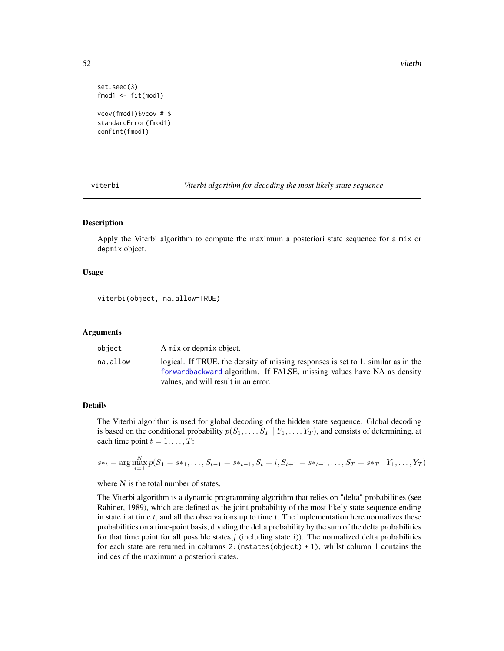52 viterbi

```
set.seed(3)
fmod1 <- fit(mod1)
```
vcov(fmod1)\$vcov # \$ standardError(fmod1) confint(fmod1)

<span id="page-51-1"></span>viterbi *Viterbi algorithm for decoding the most likely state sequence*

### Description

Apply the Viterbi algorithm to compute the maximum a posteriori state sequence for a mix or depmix object.

### Usage

viterbi(object, na.allow=TRUE)

### Arguments

| A mix or depmix object.<br>object                                                                                                                                                                               |  |
|-----------------------------------------------------------------------------------------------------------------------------------------------------------------------------------------------------------------|--|
| logical. If TRUE, the density of missing responses is set to 1, similar as in the<br>na.allow<br>forwardbackward algorithm. If FALSE, missing values have NA as density<br>values, and will result in an error. |  |

### Details

The Viterbi algorithm is used for global decoding of the hidden state sequence. Global decoding is based on the conditional probability  $p(S_1, \ldots, S_T | Y_1, \ldots, Y_T)$ , and consists of determining, at each time point  $t = 1, \ldots, T$ :

$$
s*_t = \arg \max_{i=1}^{N} p(S_1 = s*_1, \dots, S_{t-1} = s*_t-1, S_t = i, S_{t+1} = s*_t+1, \dots, S_T = s*_T \mid Y_1, \dots, Y_T)
$$

where  $N$  is the total number of states.

The Viterbi algorithm is a dynamic programming algorithm that relies on "delta" probabilities (see Rabiner, 1989), which are defined as the joint probability of the most likely state sequence ending in state  $i$  at time  $t$ , and all the observations up to time  $t$ . The implementation here normalizes these probabilities on a time-point basis, dividing the delta probability by the sum of the delta probabilities for that time point for all possible states  $j$  (including state  $i$ )). The normalized delta probabilities for each state are returned in columns  $2:$  (nstates(object) + 1), whilst column 1 contains the indices of the maximum a posteriori states.

<span id="page-51-0"></span>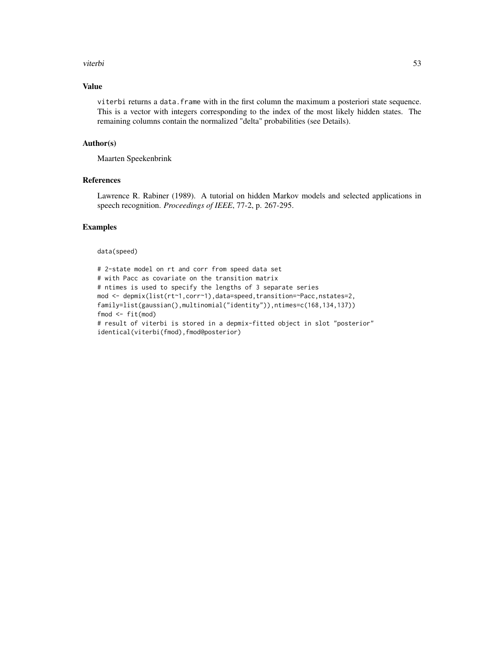#### viterbi 53

### Value

viterbi returns a data.frame with in the first column the maximum a posteriori state sequence. This is a vector with integers corresponding to the index of the most likely hidden states. The remaining columns contain the normalized "delta" probabilities (see Details).

### Author(s)

Maarten Speekenbrink

### References

Lawrence R. Rabiner (1989). A tutorial on hidden Markov models and selected applications in speech recognition. *Proceedings of IEEE*, 77-2, p. 267-295.

### Examples

data(speed)

```
# 2-state model on rt and corr from speed data set
# with Pacc as covariate on the transition matrix
# ntimes is used to specify the lengths of 3 separate series
mod <- depmix(list(rt~1,corr~1),data=speed,transition=~Pacc,nstates=2,
family=list(gaussian(),multinomial("identity")),ntimes=c(168,134,137))
fmod \leq - fit(mod)
# result of viterbi is stored in a depmix-fitted object in slot "posterior"
identical(viterbi(fmod),fmod@posterior)
```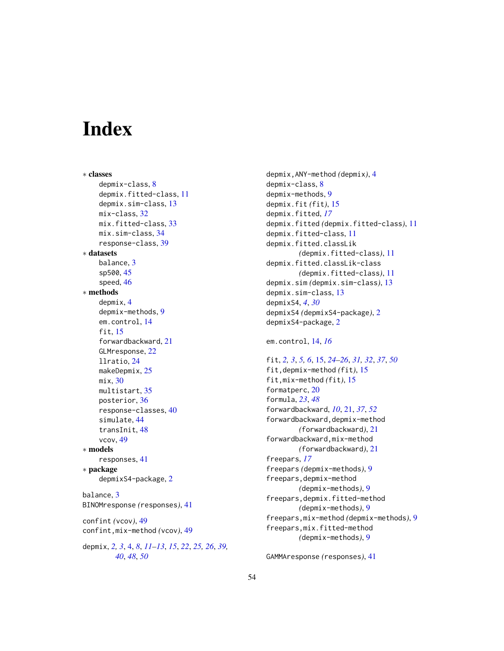# <span id="page-53-0"></span>**Index**

∗ classes depmix-class, [8](#page-7-0) depmix.fitted-class, [11](#page-10-0) depmix.sim-class, [13](#page-12-0) mix-class, [32](#page-31-0) mix.fitted-class, [33](#page-32-0) mix.sim-class, [34](#page-33-0) response-class, [39](#page-38-0) ∗ datasets balance, [3](#page-2-0) sp500, [45](#page-44-0) speed, [46](#page-45-0) ∗ methods depmix, [4](#page-3-0) depmix-methods, [9](#page-8-0) em.control, [14](#page-13-0) fit, [15](#page-14-0) forwardbackward, [21](#page-20-0) GLMresponse, [22](#page-21-0) llratio, [24](#page-23-0) makeDepmix, [25](#page-24-0) mix, [30](#page-29-0) multistart, [35](#page-34-0) posterior, [36](#page-35-0) response-classes, [40](#page-39-0) simulate, [44](#page-43-0) transInit, [48](#page-47-0) vcov, [49](#page-48-0) ∗ models responses, [41](#page-40-0) ∗ package depmixS4-package, [2](#page-1-0) balance, [3](#page-2-0) BINOMresponse *(*responses*)*, [41](#page-40-0) confint *(*vcov*)*, [49](#page-48-0) confint,mix-method *(*vcov*)*, [49](#page-48-0) depmix, *[2,](#page-1-0) [3](#page-2-0)*, [4,](#page-3-0) *[8](#page-7-0)*, *[11](#page-10-0)[–13](#page-12-0)*, *[15](#page-14-0)*, *[22](#page-21-0)*, *[25,](#page-24-0) [26](#page-25-0)*, *[39,](#page-38-0) [40](#page-39-0)*, *[48](#page-47-0)*, *[50](#page-49-0)*

depmix,ANY-method *(*depmix*)*, [4](#page-3-0) depmix-class, [8](#page-7-0) depmix-methods, [9](#page-8-0) depmix.fit *(*fit*)*, [15](#page-14-0) depmix.fitted, *[17](#page-16-0)* depmix.fitted *(*depmix.fitted-class*)*, [11](#page-10-0) depmix.fitted-class, [11](#page-10-0) depmix.fitted.classLik *(*depmix.fitted-class*)*, [11](#page-10-0) depmix.fitted.classLik-class *(*depmix.fitted-class*)*, [11](#page-10-0) depmix.sim *(*depmix.sim-class*)*, [13](#page-12-0) depmix.sim-class, [13](#page-12-0) depmixS4, *[4](#page-3-0)*, *[30](#page-29-0)* depmixS4 *(*depmixS4-package*)*, [2](#page-1-0) depmixS4-package, [2](#page-1-0)

em.control, [14,](#page-13-0) *[16](#page-15-0)*

fit, *[2,](#page-1-0) [3](#page-2-0)*, *[5,](#page-4-0) [6](#page-5-0)*, [15,](#page-14-0) *[24](#page-23-0)[–26](#page-25-0)*, *[31,](#page-30-0) [32](#page-31-0)*, *[37](#page-36-0)*, *[50](#page-49-0)* fit,depmix-method *(*fit*)*, [15](#page-14-0) fit,mix-method *(*fit*)*, [15](#page-14-0) formatperc, [20](#page-19-0) formula, *[23](#page-22-0)*, *[48](#page-47-0)* forwardbackward, *[10](#page-9-0)*, [21,](#page-20-0) *[37](#page-36-0)*, *[52](#page-51-0)* forwardbackward,depmix-method *(*forwardbackward*)*, [21](#page-20-0) forwardbackward,mix-method *(*forwardbackward*)*, [21](#page-20-0) freepars, *[17](#page-16-0)* freepars *(*depmix-methods*)*, [9](#page-8-0) freepars,depmix-method *(*depmix-methods*)*, [9](#page-8-0) freepars,depmix.fitted-method *(*depmix-methods*)*, [9](#page-8-0) freepars,mix-method *(*depmix-methods*)*, [9](#page-8-0) freepars,mix.fitted-method *(*depmix-methods*)*, [9](#page-8-0)

GAMMAresponse *(*responses*)*, [41](#page-40-0)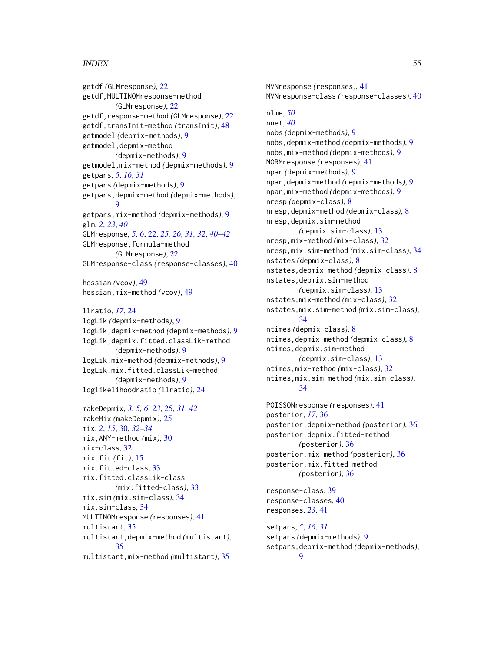### INDEX 55

getdf *(*GLMresponse*)*, [22](#page-21-0) getdf,MULTINOMresponse-method *(*GLMresponse*)*, [22](#page-21-0) getdf,response-method *(*GLMresponse*)*, [22](#page-21-0) getdf,transInit-method *(*transInit*)*, [48](#page-47-0) getmodel *(*depmix-methods*)*, [9](#page-8-0) getmodel,depmix-method *(*depmix-methods*)*, [9](#page-8-0) getmodel,mix-method *(*depmix-methods*)*, [9](#page-8-0) getpars, *[5](#page-4-0)*, *[16](#page-15-0)*, *[31](#page-30-0)* getpars *(*depmix-methods*)*, [9](#page-8-0) getpars,depmix-method *(*depmix-methods*)*, [9](#page-8-0) getpars,mix-method *(*depmix-methods*)*, [9](#page-8-0) glm, *[2](#page-1-0)*, *[23](#page-22-0)*, *[40](#page-39-0)* GLMresponse, *[5,](#page-4-0) [6](#page-5-0)*, [22,](#page-21-0) *[25,](#page-24-0) [26](#page-25-0)*, *[31,](#page-30-0) [32](#page-31-0)*, *[40–](#page-39-0)[42](#page-41-0)* GLMresponse,formula-method *(*GLMresponse*)*, [22](#page-21-0) GLMresponse-class *(*response-classes*)*, [40](#page-39-0)

hessian *(*vcov*)*, [49](#page-48-0) hessian,mix-method *(*vcov*)*, [49](#page-48-0)

llratio, *[17](#page-16-0)*, [24](#page-23-0) logLik *(*depmix-methods*)*, [9](#page-8-0) logLik,depmix-method *(*depmix-methods*)*, [9](#page-8-0) logLik,depmix.fitted.classLik-method *(*depmix-methods*)*, [9](#page-8-0) logLik,mix-method *(*depmix-methods*)*, [9](#page-8-0) logLik,mix.fitted.classLik-method *(*depmix-methods*)*, [9](#page-8-0) loglikelihoodratio *(*llratio*)*, [24](#page-23-0)

makeDepmix, *[3](#page-2-0)*, *[5,](#page-4-0) [6](#page-5-0)*, *[23](#page-22-0)*, [25,](#page-24-0) *[31](#page-30-0)*, *[42](#page-41-0)* makeMix *(*makeDepmix*)*, [25](#page-24-0) mix, *[2](#page-1-0)*, *[15](#page-14-0)*, [30,](#page-29-0) *[32](#page-31-0)[–34](#page-33-0)* mix,ANY-method *(*mix*)*, [30](#page-29-0) mix-class, [32](#page-31-0) mix.fit *(*fit*)*, [15](#page-14-0) mix.fitted-class, [33](#page-32-0) mix.fitted.classLik-class *(*mix.fitted-class*)*, [33](#page-32-0) mix.sim *(*mix.sim-class*)*, [34](#page-33-0) mix.sim-class, [34](#page-33-0) MULTINOMresponse *(*responses*)*, [41](#page-40-0) multistart, [35](#page-34-0) multistart,depmix-method *(*multistart*)*, [35](#page-34-0) multistart,mix-method *(*multistart*)*, [35](#page-34-0)

MVNresponse *(*responses*)*, [41](#page-40-0) MVNresponse-class *(*response-classes*)*, [40](#page-39-0) nlme, *[50](#page-49-0)* nnet, *[40](#page-39-0)* nobs *(*depmix-methods*)*, [9](#page-8-0) nobs,depmix-method *(*depmix-methods*)*, [9](#page-8-0) nobs,mix-method *(*depmix-methods*)*, [9](#page-8-0) NORMresponse *(*responses*)*, [41](#page-40-0) npar *(*depmix-methods*)*, [9](#page-8-0) npar,depmix-method *(*depmix-methods*)*, [9](#page-8-0) npar,mix-method *(*depmix-methods*)*, [9](#page-8-0) nresp *(*depmix-class*)*, [8](#page-7-0) nresp,depmix-method *(*depmix-class*)*, [8](#page-7-0) nresp,depmix.sim-method *(*depmix.sim-class*)*, [13](#page-12-0) nresp,mix-method *(*mix-class*)*, [32](#page-31-0) nresp,mix.sim-method *(*mix.sim-class*)*, [34](#page-33-0) nstates *(*depmix-class*)*, [8](#page-7-0) nstates,depmix-method *(*depmix-class*)*, [8](#page-7-0) nstates,depmix.sim-method *(*depmix.sim-class*)*, [13](#page-12-0) nstates,mix-method *(*mix-class*)*, [32](#page-31-0) nstates,mix.sim-method *(*mix.sim-class*)*, [34](#page-33-0) ntimes *(*depmix-class*)*, [8](#page-7-0) ntimes,depmix-method *(*depmix-class*)*, [8](#page-7-0) ntimes,depmix.sim-method *(*depmix.sim-class*)*, [13](#page-12-0) ntimes,mix-method *(*mix-class*)*, [32](#page-31-0) ntimes,mix.sim-method *(*mix.sim-class*)*, [34](#page-33-0)

POISSONresponse *(*responses*)*, [41](#page-40-0) posterior, *[17](#page-16-0)*, [36](#page-35-0) posterior,depmix-method *(*posterior*)*, [36](#page-35-0) posterior,depmix.fitted-method *(*posterior*)*, [36](#page-35-0) posterior,mix-method *(*posterior*)*, [36](#page-35-0) posterior,mix.fitted-method *(*posterior*)*, [36](#page-35-0)

response-class, [39](#page-38-0) response-classes, [40](#page-39-0) responses, *[23](#page-22-0)*, [41](#page-40-0)

setpars, *[5](#page-4-0)*, *[16](#page-15-0)*, *[31](#page-30-0)* setpars *(*depmix-methods*)*, [9](#page-8-0) setpars,depmix-method *(*depmix-methods*)*,  $\mathbf Q$